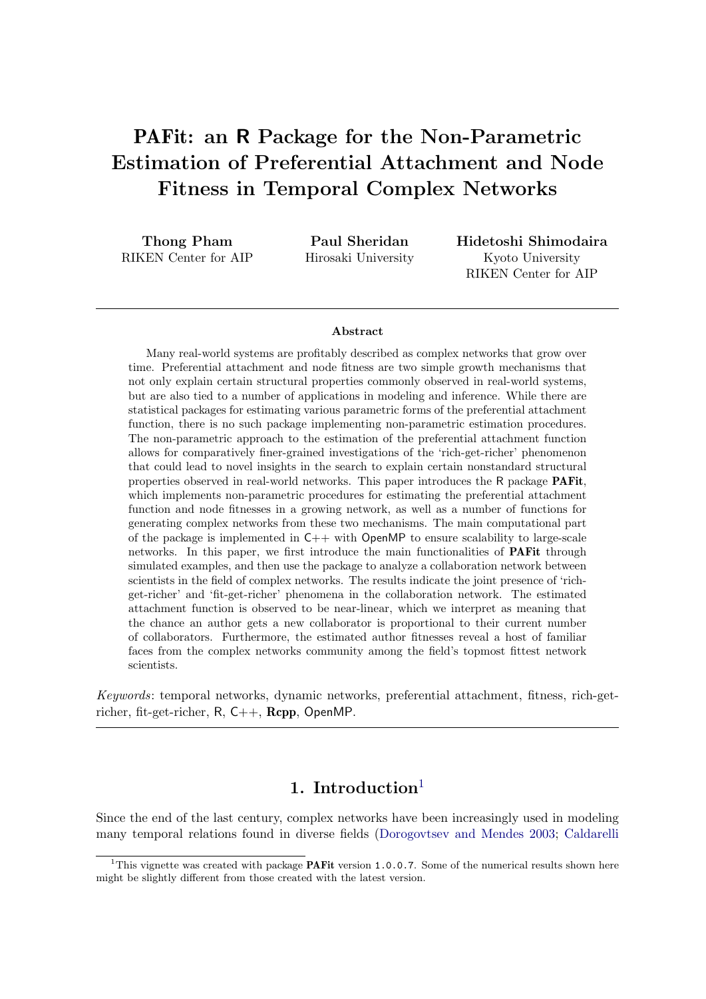# PAFit: an R Package for the Non-Parametric Estimation of Preferential Attachment and Node Fitness in Temporal Complex Networks

Thong Pham RIKEN Center for AIP

Paul Sheridan Hirosaki University Hidetoshi Shimodaira Kyoto University RIKEN Center for AIP

#### Abstract

Many real-world systems are profitably described as complex networks that grow over time. Preferential attachment and node fitness are two simple growth mechanisms that not only explain certain structural properties commonly observed in real-world systems, but are also tied to a number of applications in modeling and inference. While there are statistical packages for estimating various parametric forms of the preferential attachment function, there is no such package implementing non-parametric estimation procedures. The non-parametric approach to the estimation of the preferential attachment function allows for comparatively finer-grained investigations of the 'rich-get-richer' phenomenon that could lead to novel insights in the search to explain certain nonstandard structural properties observed in real-world networks. This paper introduces the R package PAFit, which implements non-parametric procedures for estimating the preferential attachment function and node fitnesses in a growing network, as well as a number of functions for generating complex networks from these two mechanisms. The main computational part of the package is implemented in  $C++$  with OpenMP to ensure scalability to large-scale networks. In this paper, we first introduce the main functionalities of PAFit through simulated examples, and then use the package to analyze a collaboration network between scientists in the field of complex networks. The results indicate the joint presence of 'richget-richer' and 'fit-get-richer' phenomena in the collaboration network. The estimated attachment function is observed to be near-linear, which we interpret as meaning that the chance an author gets a new collaborator is proportional to their current number of collaborators. Furthermore, the estimated author fitnesses reveal a host of familiar faces from the complex networks community among the field's topmost fittest network scientists.

Keywords: temporal networks, dynamic networks, preferential attachment, fitness, rich-getricher, fit-get-richer, R, C++, Rcpp, OpenMP.

## [1](#page-0-0). Introduction $<sup>1</sup>$ </sup>

Since the end of the last century, complex networks have been increasingly used in modeling many temporal relations found in diverse fields [\(Dorogovtsev and Mendes](#page-25-0) [2003;](#page-25-0) [Caldarelli](#page-25-1)

<span id="page-0-0"></span><sup>&</sup>lt;sup>1</sup>This vignette was created with package **PAFit** version 1.0.0.7. Some of the numerical results shown here might be slightly different from those created with the latest version.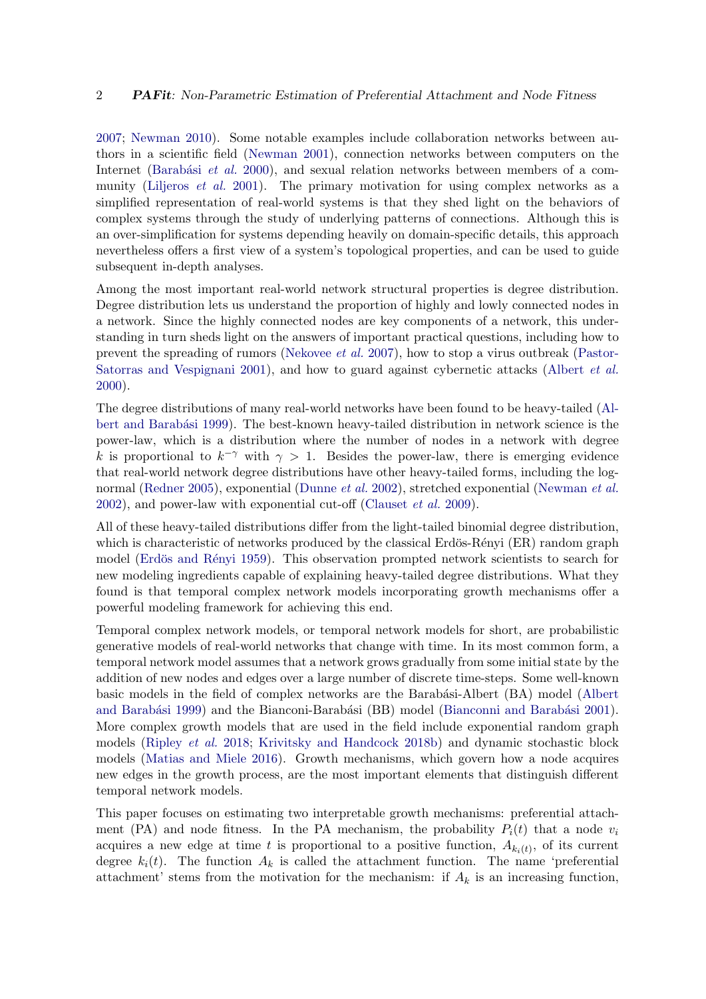[2007;](#page-25-1) [Newman](#page-27-0) [2010\)](#page-27-0). Some notable examples include collaboration networks between authors in a scientific field [\(Newman](#page-27-1) [2001\)](#page-27-1), connection networks between computers on the Internet (Barabási et al. [2000\)](#page-24-0), and sexual relation networks between members of a com-munity [\(Liljeros](#page-27-2) *et al.* [2001\)](#page-27-2). The primary motivation for using complex networks as a simplified representation of real-world systems is that they shed light on the behaviors of complex systems through the study of underlying patterns of connections. Although this is an over-simplification for systems depending heavily on domain-specific details, this approach nevertheless offers a first view of a system's topological properties, and can be used to guide subsequent in-depth analyses.

Among the most important real-world network structural properties is degree distribution. Degree distribution lets us understand the proportion of highly and lowly connected nodes in a network. Since the highly connected nodes are key components of a network, this understanding in turn sheds light on the answers of important practical questions, including how to prevent the spreading of rumors [\(Nekovee](#page-27-3) et al. [2007\)](#page-27-3), how to stop a virus outbreak [\(Pastor-](#page-27-4)[Satorras and Vespignani](#page-27-4) [2001\)](#page-27-4), and how to guard against cybernetic attacks [\(Albert](#page-24-1) et al. [2000\)](#page-24-1).

The degree distributions of many real-world networks have been found to be heavy-tailed [\(Al-](#page-24-2)bert and Barabási [1999\)](#page-24-2). The best-known heavy-tailed distribution in network science is the power-law, which is a distribution where the number of nodes in a network with degree k is proportional to  $k^{-\gamma}$  with  $\gamma > 1$ . Besides the power-law, there is emerging evidence that real-world network degree distributions have other heavy-tailed forms, including the lognormal [\(Redner](#page-28-0) [2005\)](#page-28-0), exponential [\(Dunne](#page-25-2) et al. [2002\)](#page-25-2), stretched exponential [\(Newman](#page-27-5) et al. [2002\)](#page-27-5), and power-law with exponential cut-off [\(Clauset](#page-25-3) et al. [2009\)](#page-25-3).

All of these heavy-tailed distributions differ from the light-tailed binomial degree distribution, which is characteristic of networks produced by the classical Erdös-Rényi  $(ER)$  random graph model (Erdös and Rényi [1959\)](#page-25-4). This observation prompted network scientists to search for new modeling ingredients capable of explaining heavy-tailed degree distributions. What they found is that temporal complex network models incorporating growth mechanisms offer a powerful modeling framework for achieving this end.

Temporal complex network models, or temporal network models for short, are probabilistic generative models of real-world networks that change with time. In its most common form, a temporal network model assumes that a network grows gradually from some initial state by the addition of new nodes and edges over a large number of discrete time-steps. Some well-known basic models in the field of complex networks are the Barabási-Albert (BA) model [\(Albert](#page-24-2) and Barabási [1999\)](#page-24-2) and the Bianconi-Barabási (BB) model (Bianconni and Barabási [2001\)](#page-24-3). More complex growth models that are used in the field include exponential random graph models [\(Ripley](#page-28-1) et al. [2018;](#page-28-1) [Krivitsky and Handcock](#page-27-6) [2018b\)](#page-27-6) and dynamic stochastic block models [\(Matias and Miele](#page-27-7) [2016\)](#page-27-7). Growth mechanisms, which govern how a node acquires new edges in the growth process, are the most important elements that distinguish different temporal network models.

This paper focuses on estimating two interpretable growth mechanisms: preferential attachment (PA) and node fitness. In the PA mechanism, the probability  $P_i(t)$  that a node  $v_i$ acquires a new edge at time t is proportional to a positive function,  $A_{k_i(t)}$ , of its current degree  $k_i(t)$ . The function  $A_k$  is called the attachment function. The name 'preferential attachment' stems from the motivation for the mechanism: if  $A_k$  is an increasing function,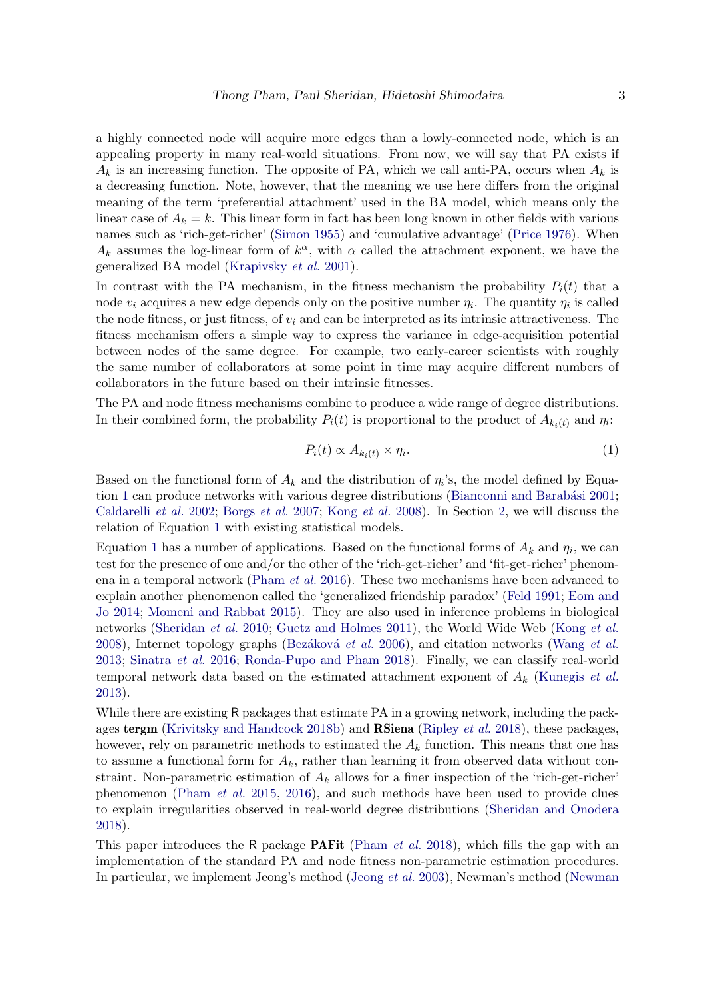a highly connected node will acquire more edges than a lowly-connected node, which is an appealing property in many real-world situations. From now, we will say that PA exists if  $A_k$  is an increasing function. The opposite of PA, which we call anti-PA, occurs when  $A_k$  is a decreasing function. Note, however, that the meaning we use here differs from the original meaning of the term 'preferential attachment' used in the BA model, which means only the linear case of  $A_k = k$ . This linear form in fact has been long known in other fields with various names such as 'rich-get-richer' [\(Simon](#page-28-2) [1955\)](#page-28-2) and 'cumulative advantage' [\(Price](#page-28-3) [1976\)](#page-28-3). When  $A_k$  assumes the log-linear form of  $k^{\alpha}$ , with  $\alpha$  called the attachment exponent, we have the generalized BA model [\(Krapivsky](#page-26-0) et al. [2001\)](#page-26-0).

In contrast with the PA mechanism, in the fitness mechanism the probability  $P_i(t)$  that a node  $v_i$  acquires a new edge depends only on the positive number  $\eta_i$ . The quantity  $\eta_i$  is called the node fitness, or just fitness, of  $v_i$  and can be interpreted as its intrinsic attractiveness. The fitness mechanism offers a simple way to express the variance in edge-acquisition potential between nodes of the same degree. For example, two early-career scientists with roughly the same number of collaborators at some point in time may acquire different numbers of collaborators in the future based on their intrinsic fitnesses.

The PA and node fitness mechanisms combine to produce a wide range of degree distributions. In their combined form, the probability  $P_i(t)$  is proportional to the product of  $A_{k_i(t)}$  and  $\eta_i$ :

<span id="page-2-0"></span>
$$
P_i(t) \propto A_{k_i(t)} \times \eta_i. \tag{1}
$$

Based on the functional form of  $A_k$  and the distribution of  $\eta_i$ 's, the model defined by Equa-tion [1](#page-2-0) can produce networks with various degree distributions (Bianconni and Barabási [2001;](#page-24-3) [Caldarelli](#page-25-5) et al. [2002;](#page-25-5) [Borgs](#page-24-4) et al. [2007;](#page-24-4) [Kong](#page-26-1) et al. [2008\)](#page-26-1). In Section [2,](#page-3-0) we will discuss the relation of Equation [1](#page-2-0) with existing statistical models.

Equation [1](#page-2-0) has a number of applications. Based on the functional forms of  $A_k$  and  $\eta_i$ , we can test for the presence of one and/or the other of the 'rich-get-richer' and 'fit-get-richer' phenom-ena in a temporal network [\(Pham](#page-28-4) *et al.* [2016\)](#page-28-4). These two mechanisms have been advanced to explain another phenomenon called the 'generalized friendship paradox' [\(Feld](#page-25-6) [1991;](#page-25-6) [Eom and](#page-25-7) [Jo](#page-25-7) [2014;](#page-25-7) [Momeni and Rabbat](#page-27-8) [2015\)](#page-27-8). They are also used in inference problems in biological networks [\(Sheridan](#page-28-5) et al. [2010;](#page-28-5) [Guetz and Holmes](#page-25-8) [2011\)](#page-25-8), the World Wide Web [\(Kong](#page-26-1) et al. [2008\)](#page-26-1), Internet topology graphs (Bezáková et al. [2006\)](#page-24-5), and citation networks [\(Wang](#page-28-6) et al. [2013;](#page-28-6) [Sinatra](#page-28-7) et al. [2016;](#page-28-7) [Ronda-Pupo and Pham](#page-28-8) [2018\)](#page-28-8). Finally, we can classify real-world temporal network data based on the estimated attachment exponent of  $A_k$  [\(Kunegis](#page-27-9) *et al.*) [2013\)](#page-27-9).

While there are existing R packages that estimate PA in a growing network, including the pack-ages tergm [\(Krivitsky and Handcock](#page-27-6) [2018b\)](#page-27-6) and **RSiena** [\(Ripley](#page-28-1) *et al.* [2018\)](#page-28-1), these packages, however, rely on parametric methods to estimated the  $A_k$  function. This means that one has to assume a functional form for  $A_k$ , rather than learning it from observed data without constraint. Non-parametric estimation of  $A_k$  allows for a finer inspection of the 'rich-get-richer' phenomenon [\(Pham](#page-28-9) et al. [2015,](#page-28-9) [2016\)](#page-28-4), and such methods have been used to provide clues to explain irregularities observed in real-world degree distributions [\(Sheridan and Onodera](#page-28-10) [2018\)](#page-28-10).

This paper introduces the R package **PAFit** [\(Pham](#page-28-11) *et al.* [2018\)](#page-28-11), which fills the gap with an implementation of the standard PA and node fitness non-parametric estimation procedures. In particular, we implement Jeong's method [\(Jeong](#page-26-2) et al. [2003\)](#page-26-2), Newman's method [\(Newman](#page-27-1))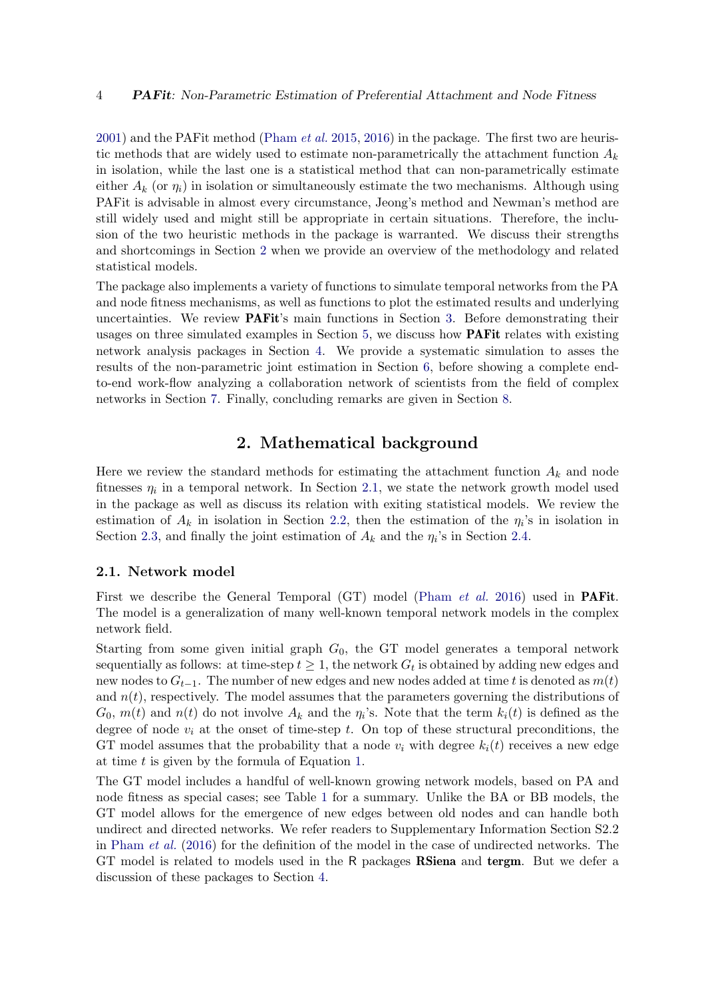$2001$ ) and the PAF it method [\(Pham](#page-28-9) *et al.* [2015,](#page-28-9) [2016\)](#page-28-4) in the package. The first two are heuristic methods that are widely used to estimate non-parametrically the attachment function  $A_k$ in isolation, while the last one is a statistical method that can non-parametrically estimate either  $A_k$  (or  $\eta_i$ ) in isolation or simultaneously estimate the two mechanisms. Although using PAFit is advisable in almost every circumstance, Jeong's method and Newman's method are still widely used and might still be appropriate in certain situations. Therefore, the inclusion of the two heuristic methods in the package is warranted. We discuss their strengths and shortcomings in Section [2](#page-3-0) when we provide an overview of the methodology and related statistical models.

The package also implements a variety of functions to simulate temporal networks from the PA and node fitness mechanisms, as well as functions to plot the estimated results and underlying uncertainties. We review **PAFit**'s main functions in Section [3.](#page-7-0) Before demonstrating their usages on three simulated examples in Section [5,](#page-11-0) we discuss how PAFit relates with existing network analysis packages in Section [4.](#page-10-0) We provide a systematic simulation to asses the results of the non-parametric joint estimation in Section [6,](#page-17-0) before showing a complete endto-end work-flow analyzing a collaboration network of scientists from the field of complex networks in Section [7.](#page-18-0) Finally, concluding remarks are given in Section [8.](#page-23-0)

## 2. Mathematical background

<span id="page-3-0"></span>Here we review the standard methods for estimating the attachment function  $A_k$  and node fitnesses  $\eta_i$  in a temporal network. In Section [2.1,](#page-3-1) we state the network growth model used in the package as well as discuss its relation with exiting statistical models. We review the estimation of  $A_k$  in isolation in Section [2.2,](#page-4-0) then the estimation of the  $\eta_i$ 's in isolation in Section [2.3,](#page-5-0) and finally the joint estimation of  $A_k$  and the  $\eta_i$ 's in Section [2.4.](#page-5-1)

#### <span id="page-3-1"></span>2.1. Network model

First we describe the General Temporal (GT) model [\(Pham](#page-28-4) *et al.* [2016\)](#page-28-4) used in **PAFit**. The model is a generalization of many well-known temporal network models in the complex network field.

Starting from some given initial graph  $G_0$ , the GT model generates a temporal network sequentially as follows: at time-step  $t \geq 1$ , the network  $G_t$  is obtained by adding new edges and new nodes to  $G_{t-1}$ . The number of new edges and new nodes added at time t is denoted as  $m(t)$ and  $n(t)$ , respectively. The model assumes that the parameters governing the distributions of  $G_0$ ,  $m(t)$  and  $n(t)$  do not involve  $A_k$  and the  $\eta_i$ 's. Note that the term  $k_i(t)$  is defined as the degree of node  $v_i$  at the onset of time-step t. On top of these structural preconditions, the GT model assumes that the probability that a node  $v_i$  with degree  $k_i(t)$  receives a new edge at time  $t$  is given by the formula of Equation [1.](#page-2-0)

The GT model includes a handful of well-known growing network models, based on PA and node fitness as special cases; see Table [1](#page-4-1) for a summary. Unlike the BA or BB models, the GT model allows for the emergence of new edges between old nodes and can handle both undirect and directed networks. We refer readers to Supplementary Information Section S2.2 in [Pham](#page-28-4) et al. [\(2016\)](#page-28-4) for the definition of the model in the case of undirected networks. The GT model is related to models used in the R packages RSiena and tergm. But we defer a discussion of these packages to Section [4.](#page-10-0)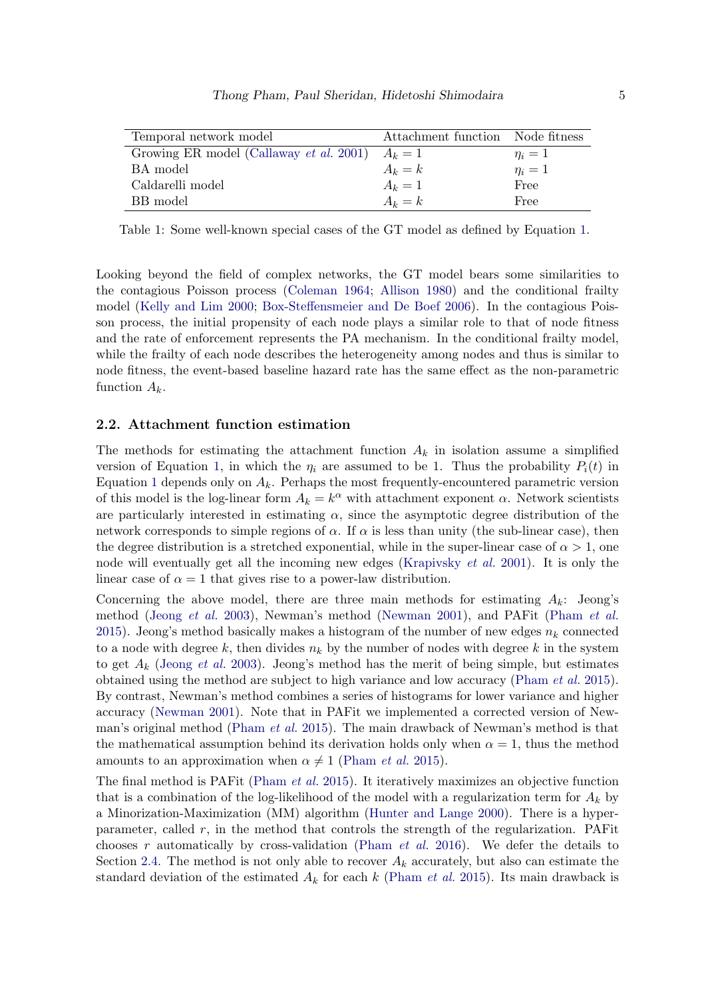<span id="page-4-1"></span>

| Temporal network model                  | Attachment function Node fitness |            |
|-----------------------------------------|----------------------------------|------------|
| Growing ER model (Callaway et al. 2001) | $A_k=1$                          | $\eta_i=1$ |
| BA model                                | $A_k = k$                        | $\eta_i=1$ |
| Caldarelli model                        | $A_k=1$                          | Free       |
| BB model                                | $A_k = k$                        | Free       |

Table 1: Some well-known special cases of the GT model as defined by Equation [1.](#page-2-0)

Looking beyond the field of complex networks, the GT model bears some similarities to the contagious Poisson process [\(Coleman](#page-25-10) [1964;](#page-25-10) [Allison](#page-24-6) [1980\)](#page-24-6) and the conditional frailty model [\(Kelly and Lim](#page-26-3) [2000;](#page-26-3) [Box-Steffensmeier and De Boef](#page-24-7) [2006\)](#page-24-7). In the contagious Poisson process, the initial propensity of each node plays a similar role to that of node fitness and the rate of enforcement represents the PA mechanism. In the conditional frailty model, while the frailty of each node describes the heterogeneity among nodes and thus is similar to node fitness, the event-based baseline hazard rate has the same effect as the non-parametric function  $A_k$ .

#### <span id="page-4-0"></span>2.2. Attachment function estimation

The methods for estimating the attachment function  $A_k$  in isolation assume a simplified version of Equation [1,](#page-2-0) in which the  $\eta_i$  are assumed to be 1. Thus the probability  $P_i(t)$  in Equation [1](#page-2-0) depends only on  $A_k$ . Perhaps the most frequently-encountered parametric version of this model is the log-linear form  $A_k = k^{\alpha}$  with attachment exponent  $\alpha$ . Network scientists are particularly interested in estimating  $\alpha$ , since the asymptotic degree distribution of the network corresponds to simple regions of  $\alpha$ . If  $\alpha$  is less than unity (the sub-linear case), then the degree distribution is a stretched exponential, while in the super-linear case of  $\alpha > 1$ , one node will eventually get all the incoming new edges [\(Krapivsky](#page-26-0) et al. [2001\)](#page-26-0). It is only the linear case of  $\alpha = 1$  that gives rise to a power-law distribution.

Concerning the above model, there are three main methods for estimating  $A_k$ : Jeong's method [\(Jeong](#page-26-2) et al. [2003\)](#page-26-2), Newman's method [\(Newman](#page-27-1) [2001\)](#page-27-1), and PAFit [\(Pham](#page-28-9) et al. [2015\)](#page-28-9). Jeong's method basically makes a histogram of the number of new edges  $n_k$  connected to a node with degree k, then divides  $n_k$  by the number of nodes with degree k in the system to get  $A_k$  [\(Jeong](#page-26-2) *et al.* [2003\)](#page-26-2). Jeong's method has the merit of being simple, but estimates obtained using the method are subject to high variance and low accuracy [\(Pham](#page-28-9) et al. [2015\)](#page-28-9). By contrast, Newman's method combines a series of histograms for lower variance and higher accuracy [\(Newman](#page-27-1) [2001\)](#page-27-1). Note that in PAFit we implemented a corrected version of Newman's original method [\(Pham](#page-28-9) et al. [2015\)](#page-28-9). The main drawback of Newman's method is that the mathematical assumption behind its derivation holds only when  $\alpha = 1$ , thus the method amounts to an approximation when  $\alpha \neq 1$  [\(Pham](#page-28-9) *et al.* [2015\)](#page-28-9).

The final method is PAFit [\(Pham](#page-28-9) et al. [2015\)](#page-28-9). It iteratively maximizes an objective function that is a combination of the log-likelihood of the model with a regularization term for  $A_k$  by a Minorization-Maximization (MM) algorithm [\(Hunter and Lange](#page-26-4) [2000\)](#page-26-4). There is a hyperparameter, called r, in the method that controls the strength of the regularization. PAFit chooses r automatically by cross-validation [\(Pham](#page-28-4) *et al.* [2016\)](#page-28-4). We defer the details to Section [2.4.](#page-5-1) The method is not only able to recover  $A_k$  accurately, but also can estimate the standard deviation of the estimated  $A_k$  for each k [\(Pham](#page-28-9) et al. [2015\)](#page-28-9). Its main drawback is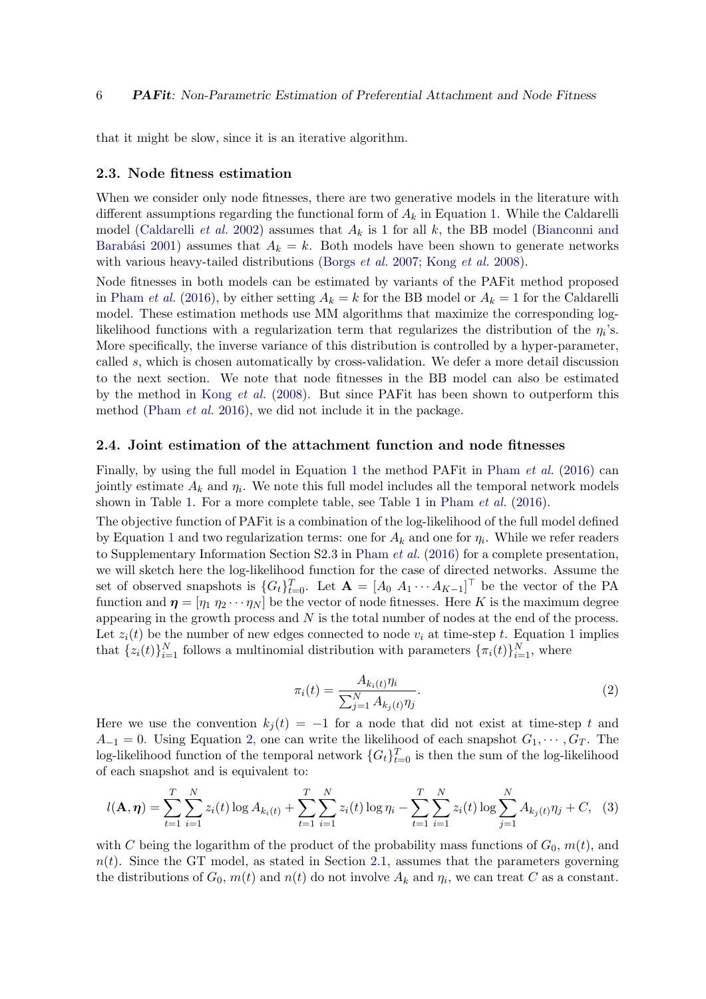that it might be slow, since it is an iterative algorithm.

#### <span id="page-5-0"></span>2.3. Node fitness estimation

When we consider only node fitnesses, there are two generative models in the literature with different assumptions regarding the functional form of  $A_k$  in Equation [1.](#page-2-0) While the Caldarelli model [\(Caldarelli](#page-25-5) *et al.* [2002\)](#page-25-5) assumes that  $A_k$  is 1 for all k, the BB model [\(Bianconni and](#page-24-3) Barabási [2001\)](#page-24-3) assumes that  $A_k = k$ . Both models have been shown to generate networks with various heavy-tailed distributions [\(Borgs](#page-24-4) *et al.* [2007;](#page-24-4) [Kong](#page-26-1) *et al.* [2008\)](#page-26-1).

Node fitnesses in both models can be estimated by variants of the PAFit method proposed in [Pham](#page-28-4) *et al.* [\(2016\)](#page-28-4), by either setting  $A_k = k$  for the BB model or  $A_k = 1$  for the Caldarelli model. These estimation methods use MM algorithms that maximize the corresponding loglikelihood functions with a regularization term that regularizes the distribution of the  $\eta_i$ 's. More specifically, the inverse variance of this distribution is controlled by a hyper-parameter, called s, which is chosen automatically by cross-validation. We defer a more detail discussion to the next section. We note that node fitnesses in the BB model can also be estimated by the method in [Kong](#page-26-1) et al. [\(2008\)](#page-26-1). But since PAFit has been shown to outperform this method [\(Pham](#page-28-4) et al. [2016\)](#page-28-4), we did not include it in the package.

#### <span id="page-5-1"></span>2.4. Joint estimation of the attachment function and node fitnesses

Finally, by using the full model in Equation [1](#page-2-0) the method PAFit in [Pham](#page-28-4) *et al.* [\(2016\)](#page-28-4) can jointly estimate  $A_k$  and  $\eta_i$ . We note this full model includes all the temporal network models shown in Table [1.](#page-4-1) For a more complete table, see Table 1 in [Pham](#page-28-4) *et al.* [\(2016\)](#page-28-4).

The objective function of PAFit is a combination of the log-likelihood of the full model defined by Equation [1](#page-2-0) and two regularization terms: one for  $A_k$  and one for  $\eta_i$ . While we refer readers to Supplementary Information Section S2.3 in [Pham](#page-28-4) *et al.* [\(2016\)](#page-28-4) for a complete presentation, we will sketch here the log-likelihood function for the case of directed networks. Assume the set of observed snapshots is  $\{G_t\}_{t=0}^T$ . Let  $\mathbf{A} = [A_0 \ A_1 \cdots A_{K-1}]^T$  be the vector of the PA function and  $\eta = [\eta_1 \eta_2 \cdots \eta_N]$  be the vector of node fitnesses. Here K is the maximum degree appearing in the growth process and  $N$  is the total number of nodes at the end of the process. Let  $z_i(t)$  be the number of new edges connected to node  $v_i$  at time-step t. Equation [1](#page-2-0) implies that  $\{z_i(t)\}_{i=1}^N$  follows a multinomial distribution with parameters  $\{\pi_i(t)\}_{i=1}^N$ , where

<span id="page-5-3"></span>
$$
\pi_i(t) = \frac{A_{k_i(t)} \eta_i}{\sum_{j=1}^N A_{k_j(t)} \eta_j}.
$$
\n(2)

<span id="page-5-2"></span>Here we use the convention  $k_i(t) = -1$  for a node that did not exist at time-step t and  $A_{-1} = 0$ . Using Equation [2,](#page-5-2) one can write the likelihood of each snapshot  $G_1, \dots, G_T$ . The log-likelihood function of the temporal network  $\{G_t\}_{t=0}^T$  is then the sum of the log-likelihood of each snapshot and is equivalent to:

$$
l(\mathbf{A}, \boldsymbol{\eta}) = \sum_{t=1}^{T} \sum_{i=1}^{N} z_i(t) \log A_{k_i(t)} + \sum_{t=1}^{T} \sum_{i=1}^{N} z_i(t) \log \eta_i - \sum_{t=1}^{T} \sum_{i=1}^{N} z_i(t) \log \sum_{j=1}^{N} A_{k_j(t)} \eta_j + C, \quad (3)
$$

with C being the logarithm of the product of the probability mass functions of  $G_0$ ,  $m(t)$ , and  $n(t)$ . Since the GT model, as stated in Section [2.1,](#page-3-1) assumes that the parameters governing the distributions of  $G_0$ ,  $m(t)$  and  $n(t)$  do not involve  $A_k$  and  $\eta_i$ , we can treat C as a constant.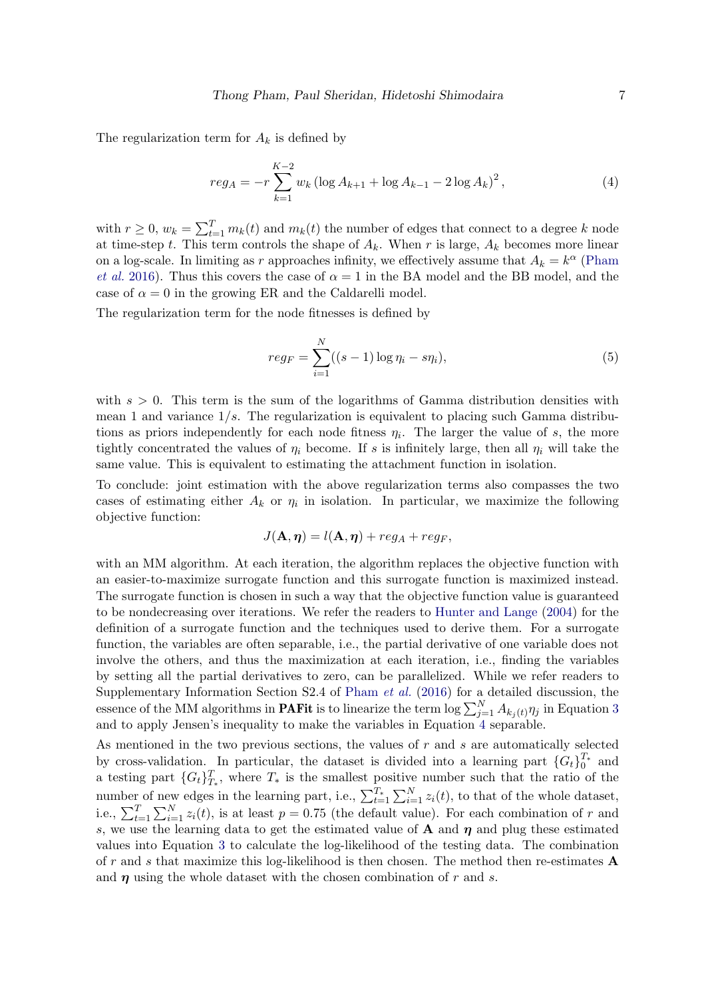The regularization term for  $A_k$  is defined by

<span id="page-6-0"></span>
$$
reg_A = -r \sum_{k=1}^{K-2} w_k \left( \log A_{k+1} + \log A_{k-1} - 2 \log A_k \right)^2, \tag{4}
$$

with  $r \geq 0$ ,  $w_k = \sum_{t=1}^T m_k(t)$  and  $m_k(t)$  the number of edges that connect to a degree k node at time-step t. This term controls the shape of  $A_k$ . When r is large,  $A_k$  becomes more linear on a log-scale. In limiting as r approaches infinity, we effectively assume that  $A_k = k^{\alpha}$  [\(Pham](#page-28-4) [et al.](#page-28-4) [2016\)](#page-28-4). Thus this covers the case of  $\alpha = 1$  in the BA model and the BB model, and the case of  $\alpha = 0$  in the growing ER and the Caldarelli model.

The regularization term for the node fitnesses is defined by

<span id="page-6-1"></span>
$$
reg_F = \sum_{i=1}^{N} ((s-1)\log \eta_i - s\eta_i),
$$
\n(5)

with  $s > 0$ . This term is the sum of the logarithms of Gamma distribution densities with mean 1 and variance  $1/s$ . The regularization is equivalent to placing such Gamma distributions as priors independently for each node fitness  $\eta_i$ . The larger the value of s, the more tightly concentrated the values of  $\eta_i$  become. If s is infinitely large, then all  $\eta_i$  will take the same value. This is equivalent to estimating the attachment function in isolation.

To conclude: joint estimation with the above regularization terms also compasses the two cases of estimating either  $A_k$  or  $\eta_i$  in isolation. In particular, we maximize the following objective function:

$$
J(\mathbf{A}, \boldsymbol{\eta}) = l(\mathbf{A}, \boldsymbol{\eta}) + reg_A + reg_F,
$$

with an MM algorithm. At each iteration, the algorithm replaces the objective function with an easier-to-maximize surrogate function and this surrogate function is maximized instead. The surrogate function is chosen in such a way that the objective function value is guaranteed to be nondecreasing over iterations. We refer the readers to [Hunter and Lange](#page-26-5) [\(2004\)](#page-26-5) for the definition of a surrogate function and the techniques used to derive them. For a surrogate function, the variables are often separable, i.e., the partial derivative of one variable does not involve the others, and thus the maximization at each iteration, i.e., finding the variables by setting all the partial derivatives to zero, can be parallelized. While we refer readers to Supplementary Information Section S2.4 of [Pham](#page-28-4) *et al.* [\(2016\)](#page-28-4) for a detailed discussion, the essence of the MM algorithms in **PAFit** is to linearize the term  $\log \sum_{j=1}^{N} A_{k_j(t)} \eta_j$  in Equation [3](#page-5-3) and to apply Jensen's inequality to make the variables in Equation [4](#page-6-0) separable.

As mentioned in the two previous sections, the values of  $r$  and  $s$  are automatically selected by cross-validation. In particular, the dataset is divided into a learning part  ${G_t}_{0}^{T_*}$  and a testing part  $\{G_t\}_{T_*}^T$ , where  $T_*$  is the smallest positive number such that the ratio of the number of new edges in the learning part, i.e.,  $\sum_{t=1}^{T_*} \sum_{i=1}^N z_i(t)$ , to that of the whole dataset, i.e.,  $\sum_{t=1}^{T} \sum_{i=1}^{N} z_i(t)$ , is at least  $p = 0.75$  (the default value). For each combination of r and s, we use the learning data to get the estimated value of  $A$  and  $\eta$  and plug these estimated values into Equation [3](#page-5-3) to calculate the log-likelihood of the testing data. The combination of r and s that maximize this log-likelihood is then chosen. The method then re-estimates  $\bf{A}$ and  $\eta$  using the whole dataset with the chosen combination of r and s.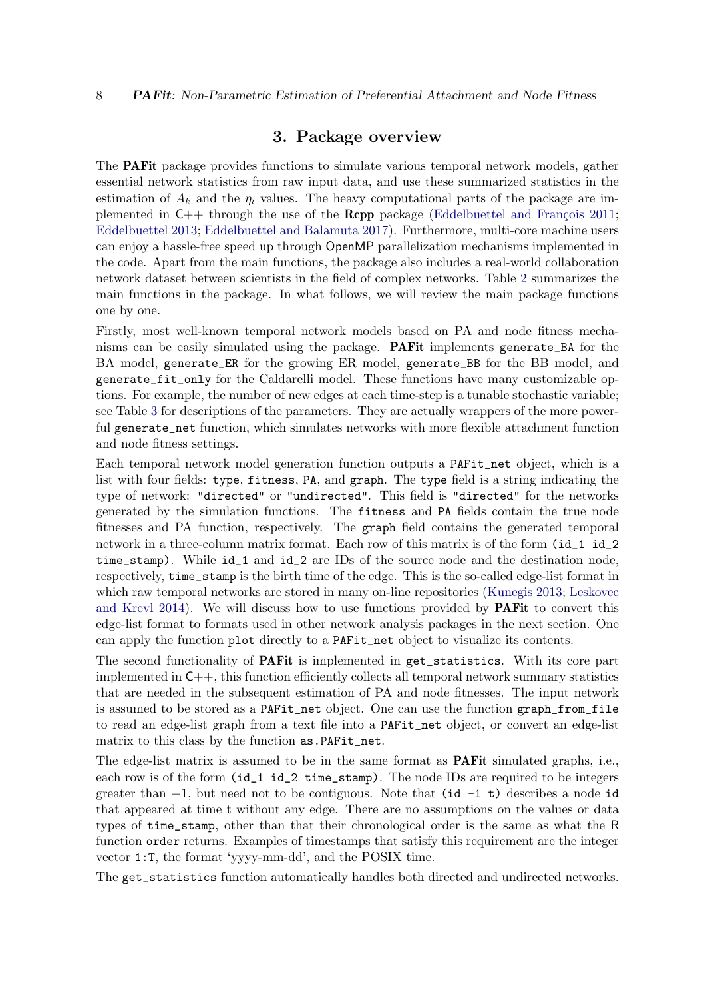### 3. Package overview

<span id="page-7-0"></span>The PAFit package provides functions to simulate various temporal network models, gather essential network statistics from raw input data, and use these summarized statistics in the estimation of  $A_k$  and the  $\eta_i$  values. The heavy computational parts of the package are implemented in  $C_{++}$  through the use of the **Rcpp** package (Eddelbuettel and François [2011;](#page-25-11) [Eddelbuettel](#page-25-12) [2013;](#page-25-12) [Eddelbuettel and Balamuta](#page-25-13) [2017\)](#page-25-13). Furthermore, multi-core machine users can enjoy a hassle-free speed up through OpenMP parallelization mechanisms implemented in the code. Apart from the main functions, the package also includes a real-world collaboration network dataset between scientists in the field of complex networks. Table [2](#page-8-0) summarizes the main functions in the package. In what follows, we will review the main package functions one by one.

Firstly, most well-known temporal network models based on PA and node fitness mechanisms can be easily simulated using the package. PAFit implements generate\_BA for the BA model, generate\_ER for the growing ER model, generate\_BB for the BB model, and generate\_fit\_only for the Caldarelli model. These functions have many customizable options. For example, the number of new edges at each time-step is a tunable stochastic variable; see Table [3](#page-9-0) for descriptions of the parameters. They are actually wrappers of the more powerful generate\_net function, which simulates networks with more flexible attachment function and node fitness settings.

Each temporal network model generation function outputs a PAFit\_net object, which is a list with four fields: type, fitness, PA, and graph. The type field is a string indicating the type of network: "directed" or "undirected". This field is "directed" for the networks generated by the simulation functions. The fitness and PA fields contain the true node fitnesses and PA function, respectively. The graph field contains the generated temporal network in a three-column matrix format. Each row of this matrix is of the form (id\_1 id\_2 time\_stamp). While id\_1 and id\_2 are IDs of the source node and the destination node, respectively, time\_stamp is the birth time of the edge. This is the so-called edge-list format in which raw temporal networks are stored in many on-line repositories [\(Kunegis](#page-27-10) [2013;](#page-27-10) [Leskovec](#page-27-11) [and Krevl](#page-27-11) [2014\)](#page-27-11). We will discuss how to use functions provided by PAFit to convert this edge-list format to formats used in other network analysis packages in the next section. One can apply the function plot directly to a PAFit\_net object to visualize its contents.

The second functionality of PAFit is implemented in get\_statistics. With its core part implemented in  $C_{++}$ , this function efficiently collects all temporal network summary statistics that are needed in the subsequent estimation of PA and node fitnesses. The input network is assumed to be stored as a PAFit\_net object. One can use the function graph\_from\_file to read an edge-list graph from a text file into a PAFit\_net object, or convert an edge-list matrix to this class by the function as.PAFit\_net.

The edge-list matrix is assumed to be in the same format as **PAFit** simulated graphs, i.e., each row is of the form (id\_1 id\_2 time\_stamp). The node IDs are required to be integers greater than  $-1$ , but need not to be contiguous. Note that (id  $-1$  t) describes a node id that appeared at time t without any edge. There are no assumptions on the values or data types of time\_stamp, other than that their chronological order is the same as what the R function order returns. Examples of timestamps that satisfy this requirement are the integer vector 1:T, the format 'yyyy-mm-dd', and the POSIX time.

The get\_statistics function automatically handles both directed and undirected networks.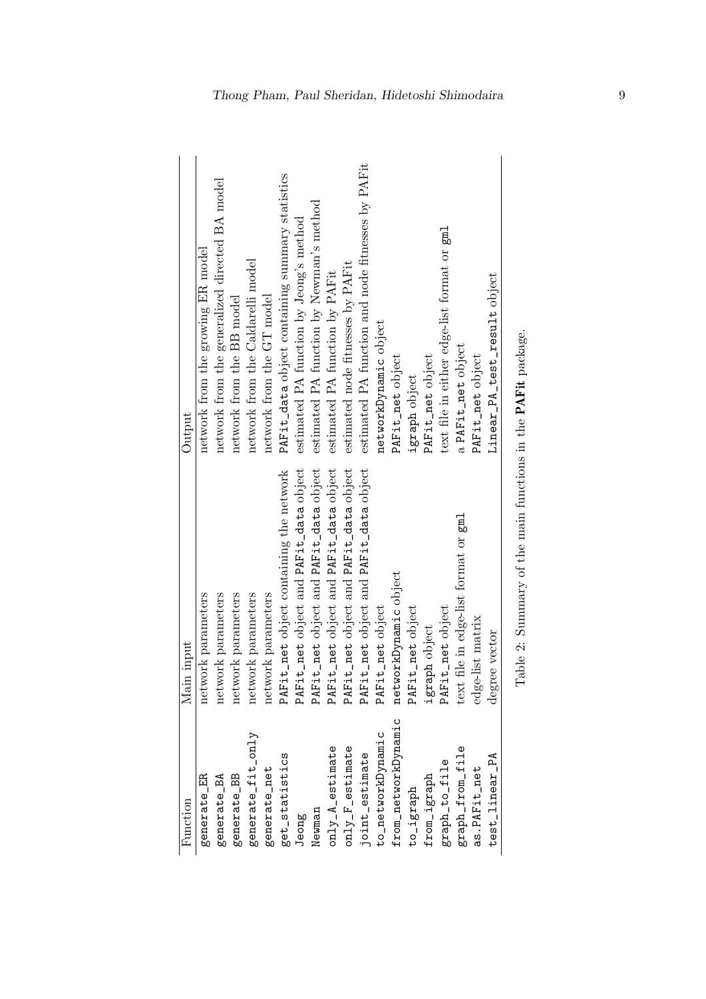<span id="page-8-0"></span>

| Function             | Main input                                                   | Output                                            |
|----------------------|--------------------------------------------------------------|---------------------------------------------------|
| generate_ER          | network parameters                                           | network from the growing ER model                 |
| generate_BA          | network parameters                                           | network from the generalized directed BA model    |
| generate_BB          | network parameters                                           | network from the BB model                         |
| generate_fit_only    | network parameters                                           | network from the Caldarelli model                 |
| generate_net         | network parameters                                           | network from the GT model                         |
| get_statistics       | PAFit_net object containing the network                      | PAFit_data object containing summary statistics   |
| Jeong                | PAFit_net object and PAFit_data object                       | estimated PA function by Jeong's method           |
| Newman               | PAFit_net object and PAFit_data object                       | estimated PA function by Newman's method          |
| $only_A_eestimate$   | PAFit_net object and PAFit_data object                       | estimated PA function by PAFit                    |
| $only_F$ -gstimate   | PAFit_net object and PAFit_data object                       | estimated node fitnesses by PAFit                 |
| joint_estimate       | PAFit_net object and PAFit_data object                       | estimated PA function and node fitnesses by PAFit |
| to_networkDynamic    | PAFit_net object                                             | networkDynamic object                             |
| from_networkDynamic  | networkDynamic object                                        | PAFit_net object                                  |
| to_igraph            | PAFit_net object                                             | igraph object                                     |
| ${\tt from\_igraph}$ | igraph object                                                | PAFit_net object                                  |
| graph_to_file        | PAFit_net object                                             | text file in either edge-list format or gml       |
| graph_from_file      | text file in edge-list format or gml                         | a PAFit_net object                                |
| as.PAFit_net         | edge-list matrix                                             | PAFit_net object                                  |
| test_linear_PA       | degree vector                                                | Linear_PA_test_result object                      |
|                      | Table 2: Summary of the main functions in the PAFit package. |                                                   |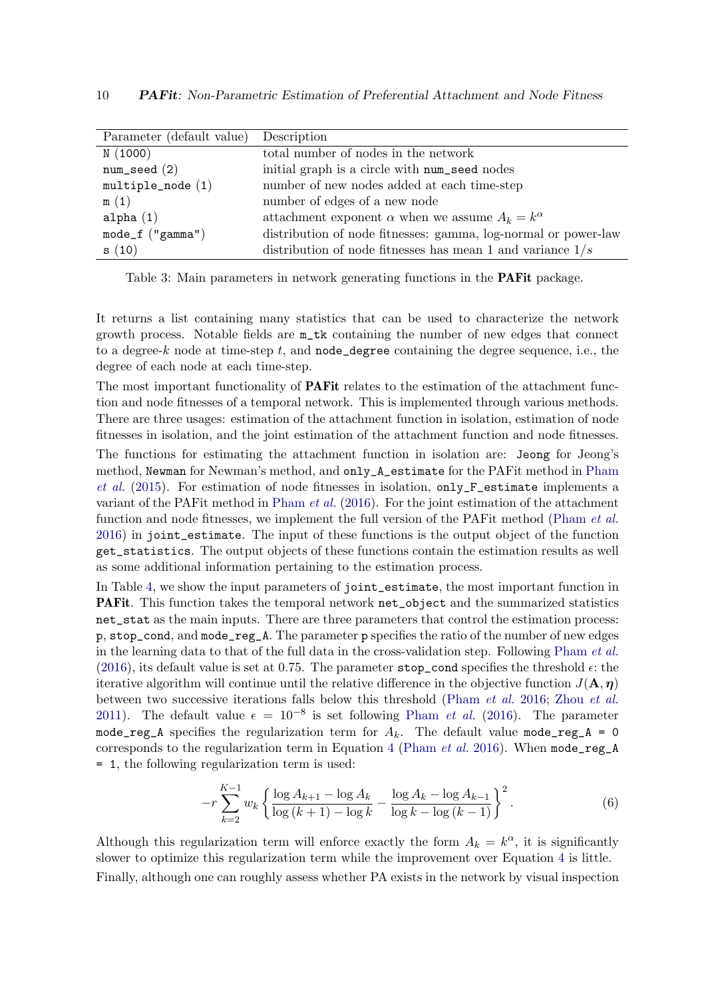<span id="page-9-0"></span>

| Parameter (default value) Description |                                                                |
|---------------------------------------|----------------------------------------------------------------|
| N(1000)                               | total number of nodes in the network                           |
| $num\_seed(2)$                        | initial graph is a circle with num_seed nodes                  |
| $multiple\_node(1)$                   | number of new nodes added at each time-step                    |
| m(1)                                  | number of edges of a new node                                  |
| alpha $(1)$                           | attachment exponent $\alpha$ when we assume $A_k = k^{\alpha}$ |
| $mode_f("gamma")$                     | distribution of node fitnesses: gamma, log-normal or power-law |
| s(10)                                 | distribution of node fitnesses has mean 1 and variance $1/s$   |

Table 3: Main parameters in network generating functions in the PAFit package.

It returns a list containing many statistics that can be used to characterize the network growth process. Notable fields are m\_tk containing the number of new edges that connect to a degree-k node at time-step t, and  $\mathbf{n}$  **ode\_degree** containing the degree sequence, i.e., the degree of each node at each time-step.

The most important functionality of **PAF** it relates to the estimation of the attachment function and node fitnesses of a temporal network. This is implemented through various methods. There are three usages: estimation of the attachment function in isolation, estimation of node fitnesses in isolation, and the joint estimation of the attachment function and node fitnesses.

The functions for estimating the attachment function in isolation are: Jeong for Jeong's method, Newman for Newman's method, and only\_A\_estimate for the PAFit method in [Pham](#page-28-9) [et al.](#page-28-9) [\(2015\)](#page-28-9). For estimation of node fitnesses in isolation, only\_F\_estimate implements a variant of the PAFit method in [Pham](#page-28-4) *et al.* [\(2016\)](#page-28-4). For the joint estimation of the attachment function and node fitnesses, we implement the full version of the PAFit method [\(Pham](#page-28-4) *et al.*) [2016\)](#page-28-4) in joint\_estimate. The input of these functions is the output object of the function get\_statistics. The output objects of these functions contain the estimation results as well as some additional information pertaining to the estimation process.

In Table [4,](#page-10-1) we show the input parameters of joint\_estimate, the most important function in PAFit. This function takes the temporal network net\_object and the summarized statistics net\_stat as the main inputs. There are three parameters that control the estimation process: p, stop\_cond, and mode\_reg\_A. The parameter p specifies the ratio of the number of new edges in the learning data to that of the full data in the cross-validation step. Following [Pham](#page-28-4) et al. [\(2016\)](#page-28-4), its default value is set at 0.75. The parameter stop\_cond specifies the threshold  $\epsilon$ : the iterative algorithm will continue until the relative difference in the objective function  $J(\mathbf{A}, \boldsymbol{\eta})$ between two successive iterations falls below this threshold [\(Pham](#page-28-4) et al. [2016;](#page-28-4) Zhou [et al.](#page-29-0) [2011\)](#page-29-0). The default value  $\epsilon = 10^{-8}$  is set following [Pham](#page-28-4) *et al.* [\(2016\)](#page-28-4). The parameter mode\_reg\_A specifies the regularization term for  $A_k$ . The default value mode\_reg\_A = 0 corresponds to the regularization term in Equation [4](#page-6-0) [\(Pham](#page-28-4) *et al.* [2016\)](#page-28-4). When  $\text{mode\_reg\_A}$ = 1, the following regularization term is used:

$$
-r\sum_{k=2}^{K-1} w_k \left\{ \frac{\log A_{k+1} - \log A_k}{\log (k+1) - \log k} - \frac{\log A_k - \log A_{k-1}}{\log k - \log (k-1)} \right\}^2.
$$
 (6)

Although this regularization term will enforce exactly the form  $A_k = k^{\alpha}$ , it is significantly slower to optimize this regularization term while the improvement over Equation [4](#page-6-0) is little. Finally, although one can roughly assess whether PA exists in the network by visual inspection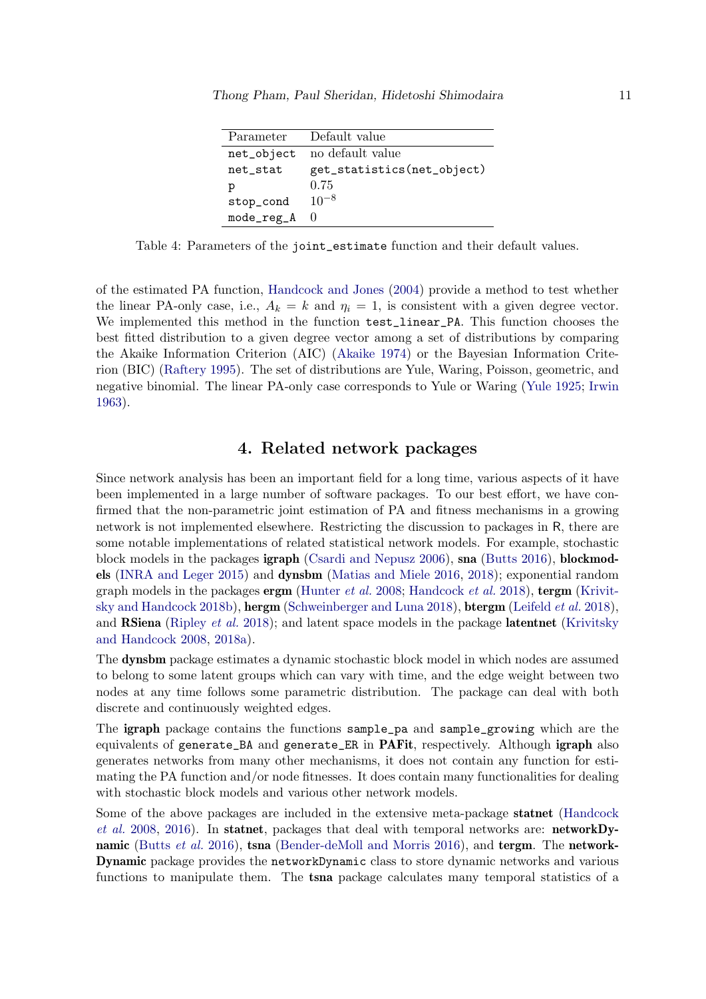| Parameter  | Default value              |
|------------|----------------------------|
| net_object | no default value           |
| net_stat   | get_statistics(net_object) |
| р          | 0.75                       |
| stop_cond  | $10^{-8}$                  |
| mode_reg_A | $\left( \right)$           |

<span id="page-10-1"></span>Table 4: Parameters of the joint\_estimate function and their default values.

of the estimated PA function, [Handcock and Jones](#page-26-6) [\(2004\)](#page-26-6) provide a method to test whether the linear PA-only case, i.e.,  $A_k = k$  and  $\eta_i = 1$ , is consistent with a given degree vector. We implemented this method in the function test\_linear\_PA. This function chooses the best fitted distribution to a given degree vector among a set of distributions by comparing the Akaike Information Criterion (AIC) [\(Akaike](#page-24-8) [1974\)](#page-24-8) or the Bayesian Information Criterion (BIC) [\(Raftery](#page-28-12) [1995\)](#page-28-12). The set of distributions are Yule, Waring, Poisson, geometric, and negative binomial. The linear PA-only case corresponds to Yule or Waring [\(Yule](#page-29-1) [1925;](#page-29-1) [Irwin](#page-26-7) [1963\)](#page-26-7).

## 4. Related network packages

<span id="page-10-0"></span>Since network analysis has been an important field for a long time, various aspects of it have been implemented in a large number of software packages. To our best effort, we have confirmed that the non-parametric joint estimation of PA and fitness mechanisms in a growing network is not implemented elsewhere. Restricting the discussion to packages in R, there are some notable implementations of related statistical network models. For example, stochastic block models in the packages igraph [\(Csardi and Nepusz](#page-25-14) [2006\)](#page-25-14), sna [\(Butts](#page-24-9) [2016\)](#page-24-9), blockmodels [\(INRA and Leger](#page-26-8) [2015\)](#page-26-8) and dynsbm [\(Matias and Miele](#page-27-7) [2016,](#page-27-7) [2018\)](#page-27-12); exponential random graph models in the packages  $\text{ergm}$  [\(Hunter](#page-26-9) *et al.* [2008;](#page-26-9) [Handcock](#page-26-10) *et al.* [2018\)](#page-26-10), tergm [\(Krivit](#page-27-6)[sky and Handcock](#page-27-6) [2018b\)](#page-27-6), hergm [\(Schweinberger and Luna](#page-28-13) [2018\)](#page-28-13), btergm [\(Leifeld](#page-27-13) et al. [2018\)](#page-27-13), and **RSiena** [\(Ripley](#page-28-1) *et al.* [2018\)](#page-28-1); and latent space models in the package **latentnet** [\(Krivitsky](#page-26-11) [and Handcock](#page-26-11) [2008,](#page-26-11) [2018a\)](#page-26-12).

The dynsbm package estimates a dynamic stochastic block model in which nodes are assumed to belong to some latent groups which can vary with time, and the edge weight between two nodes at any time follows some parametric distribution. The package can deal with both discrete and continuously weighted edges.

The igraph package contains the functions sample\_pa and sample\_growing which are the equivalents of generate\_BA and generate\_ER in PAFit, respectively. Although igraph also generates networks from many other mechanisms, it does not contain any function for estimating the PA function and/or node fitnesses. It does contain many functionalities for dealing with stochastic block models and various other network models.

Some of the above packages are included in the extensive meta-package statnet [\(Handcock](#page-26-13) [et al.](#page-26-13) [2008,](#page-26-13) [2016\)](#page-25-15). In statnet, packages that deal with temporal networks are: networkDy-namic [\(Butts](#page-25-16) *et al.* [2016\)](#page-24-10), tsna [\(Bender-deMoll and Morris](#page-24-10) 2016), and tergm. The network-Dynamic package provides the networkDynamic class to store dynamic networks and various functions to manipulate them. The **tsna** package calculates many temporal statistics of a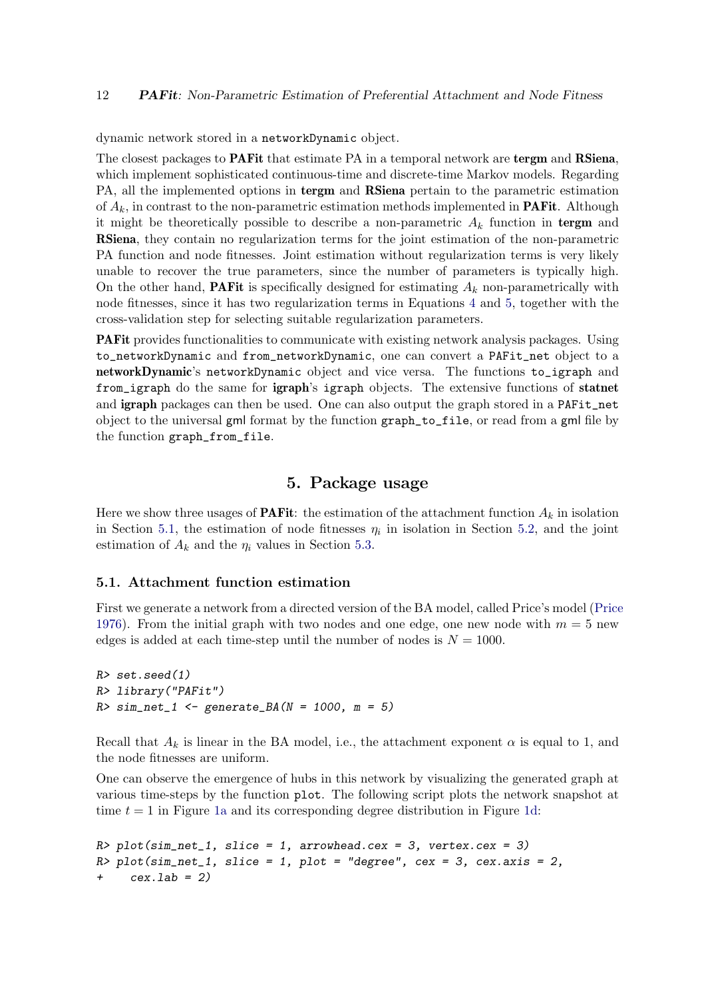dynamic network stored in a networkDynamic object.

The closest packages to **PAF** it that estimate PA in a temporal network are tergm and **RSiena**, which implement sophisticated continuous-time and discrete-time Markov models. Regarding PA, all the implemented options in **tergm** and **RSiena** pertain to the parametric estimation of  $A_k$ , in contrast to the non-parametric estimation methods implemented in **PAFit.** Although it might be theoretically possible to describe a non-parametric  $A_k$  function in tergm and RSiena, they contain no regularization terms for the joint estimation of the non-parametric PA function and node fitnesses. Joint estimation without regularization terms is very likely unable to recover the true parameters, since the number of parameters is typically high. On the other hand, **PAFit** is specifically designed for estimating  $A_k$  non-parametrically with node fitnesses, since it has two regularization terms in Equations [4](#page-6-0) and [5,](#page-6-1) together with the cross-validation step for selecting suitable regularization parameters.

PAFit provides functionalities to communicate with existing network analysis packages. Using to\_networkDynamic and from\_networkDynamic, one can convert a PAFit\_net object to a networkDynamic's networkDynamic object and vice versa. The functions to\_igraph and from\_igraph do the same for igraph's igraph objects. The extensive functions of statnet and **igraph** packages can then be used. One can also output the graph stored in a PAFit\_net object to the universal gml format by the function graph\_to\_file, or read from a gml file by the function graph\_from\_file.

## 5. Package usage

<span id="page-11-0"></span>Here we show three usages of **PAFit**: the estimation of the attachment function  $A_k$  in isolation in Section [5.1,](#page-11-1) the estimation of node fitnesses  $\eta_i$  in isolation in Section [5.2,](#page-13-0) and the joint estimation of  $A_k$  and the  $\eta_i$  values in Section [5.3.](#page-15-0)

#### <span id="page-11-1"></span>5.1. Attachment function estimation

First we generate a network from a directed version of the BA model, called Price's model [\(Price](#page-28-3) [1976\)](#page-28-3). From the initial graph with two nodes and one edge, one new node with  $m = 5$  new edges is added at each time-step until the number of nodes is  $N = 1000$ .

```
R> set.seed(1)
R> library("PAFit")
R > sim\_net\_1 <- generate_BA(N = 1000, m = 5)
```
Recall that  $A_k$  is linear in the BA model, i.e., the attachment exponent  $\alpha$  is equal to 1, and the node fitnesses are uniform.

One can observe the emergence of hubs in this network by visualizing the generated graph at various time-steps by the function plot. The following script plots the network snapshot at time  $t = 1$  in Figure [1a](#page-12-0) and its corresponding degree distribution in Figure [1d:](#page-12-0)

```
R> plot(sim_net_1, slice = 1, arrowhead.cex = 3, vertex.cex = 3)
R> plot(sim_net_1, slice = 1, plot = "degree", cex = 3, cex.axis = 2,
     cex.1ab = 2)
```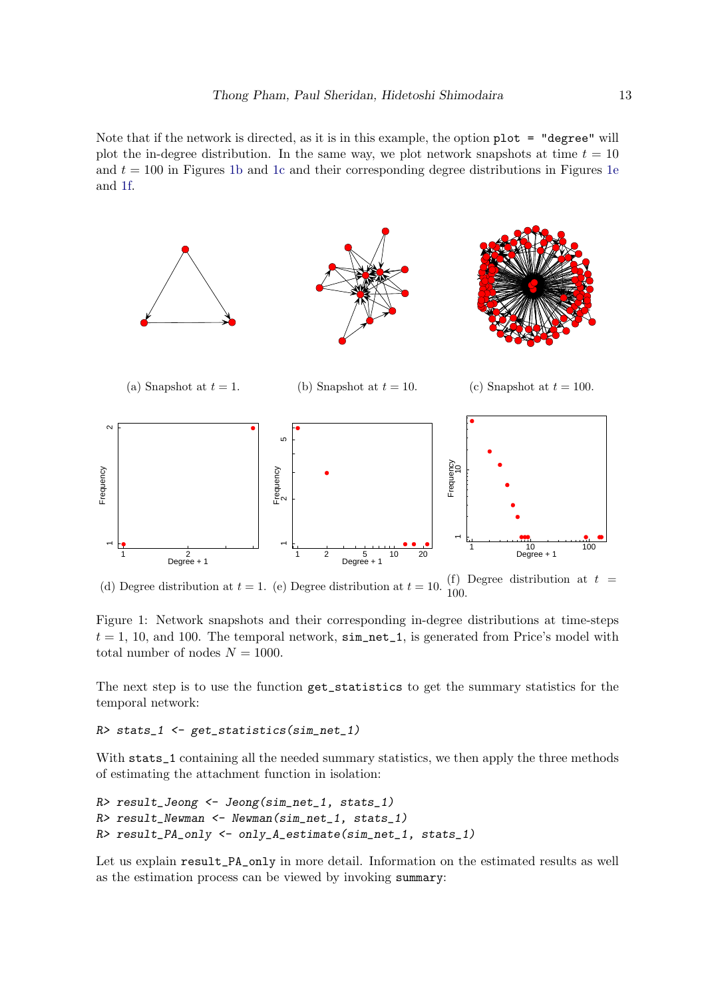Note that if the network is directed, as it is in this example, the option plot = "degree" will plot the in-degree distribution. In the same way, we plot network snapshots at time  $t = 10$ and  $t = 100$  in Figures [1b](#page-12-0) and [1c](#page-12-0) and their corresponding degree distributions in Figures [1e](#page-12-0) and [1f.](#page-12-0)

<span id="page-12-0"></span>

(d) Degree distribution at  $t = 1$ . (e) Degree distribution at  $t = 10$ . (f) Degree distribution at  $t =$ 100.

Figure 1: Network snapshots and their corresponding in-degree distributions at time-steps  $t = 1, 10,$  and 100. The temporal network,  $\sin{\pi}t = 1$ , is generated from Price's model with total number of nodes  $N = 1000$ .

The next step is to use the function get\_statistics to get the summary statistics for the temporal network:

```
R> stats_1 <- get_statistics(sim_net_1)
```
With stats\_1 containing all the needed summary statistics, we then apply the three methods of estimating the attachment function in isolation:

```
R> result_Jeong <- Jeong(sim_net_1, stats_1)
R> result_Newman <- Newman(sim_net_1, stats_1)
R> result_PA_only <- only_A_estimate(sim_net_1, stats_1)
```
Let us explain result\_PA\_only in more detail. Information on the estimated results as well as the estimation process can be viewed by invoking summary: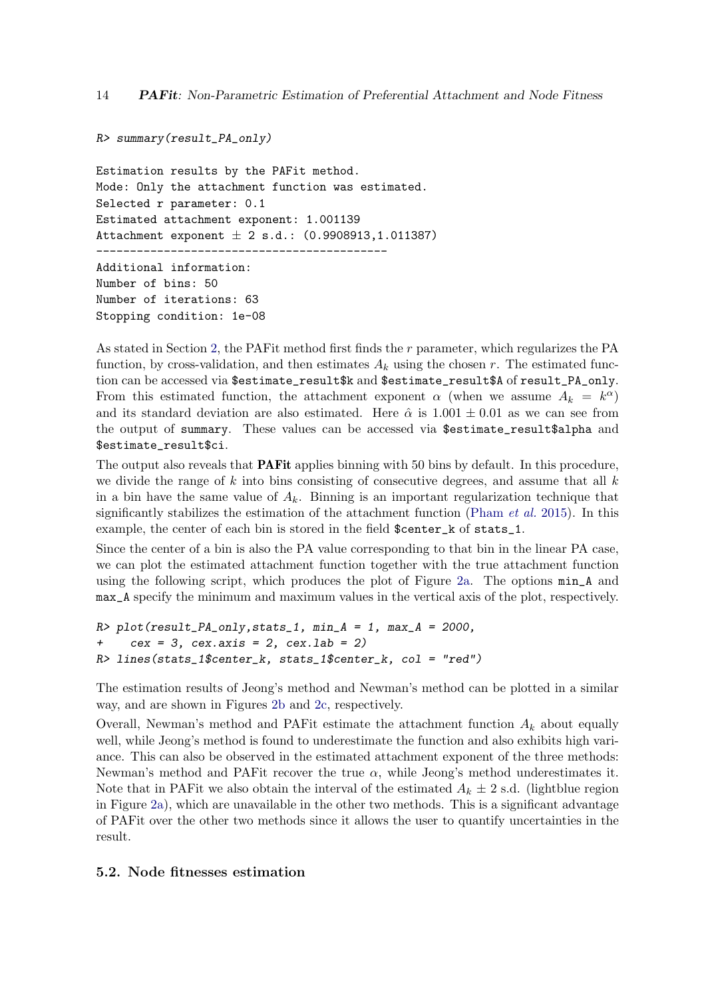14 **PAFit:** Non-Parametric Estimation of Preferential Attachment and Node Fitness

```
R> summary(result_PA_only)
```
Estimation results by the PAFit method. Mode: Only the attachment function was estimated. Selected r parameter: 0.1 Estimated attachment exponent: 1.001139 Attachment exponent  $\pm$  2 s.d.: (0.9908913,1.011387) ------------------------------------------- Additional information: Number of bins: 50 Number of iterations: 63 Stopping condition: 1e-08

As stated in Section [2,](#page-3-0) the PAFit method first finds the r parameter, which regularizes the PA function, by cross-validation, and then estimates  $A_k$  using the chosen r. The estimated function can be accessed via \$estimate\_result\$k and \$estimate\_result\$A of result\_PA\_only. From this estimated function, the attachment exponent  $\alpha$  (when we assume  $A_k = k^{\alpha}$ ) and its standard deviation are also estimated. Here  $\hat{\alpha}$  is  $1.001 \pm 0.01$  as we can see from the output of summary. These values can be accessed via \$estimate\_result\$alpha and \$estimate\_result\$ci.

The output also reveals that **PAF** it applies binning with 50 bins by default. In this procedure, we divide the range of  $k$  into bins consisting of consecutive degrees, and assume that all  $k$ in a bin have the same value of  $A_k$ . Binning is an important regularization technique that significantly stabilizes the estimation of the attachment function [\(Pham](#page-28-9)  $et$  al. [2015\)](#page-28-9). In this example, the center of each bin is stored in the field \$center\_k of stats\_1.

Since the center of a bin is also the PA value corresponding to that bin in the linear PA case, we can plot the estimated attachment function together with the true attachment function using the following script, which produces the plot of Figure [2a.](#page-14-0) The options min\_A and max\_A specify the minimum and maximum values in the vertical axis of the plot, respectively.

```
R> plot(result_PA_only, stats_1, min_A = 1, max_A = 2000,
+ cex = 3, cex. axis = 2, cex. lab = 2)
R> lines(stats_1$center_k, stats_1$center_k, col = "red")
```
The estimation results of Jeong's method and Newman's method can be plotted in a similar way, and are shown in Figures [2b](#page-14-0) and [2c,](#page-14-0) respectively.

Overall, Newman's method and PAFit estimate the attachment function  $A_k$  about equally well, while Jeong's method is found to underestimate the function and also exhibits high variance. This can also be observed in the estimated attachment exponent of the three methods: Newman's method and PAFit recover the true  $\alpha$ , while Jeong's method underestimates it. Note that in PAF it we also obtain the interval of the estimated  $A_k \pm 2$  s.d. (lightblue region in Figure [2a\)](#page-14-0), which are unavailable in the other two methods. This is a significant advantage of PAFit over the other two methods since it allows the user to quantify uncertainties in the result.

#### <span id="page-13-0"></span>5.2. Node fitnesses estimation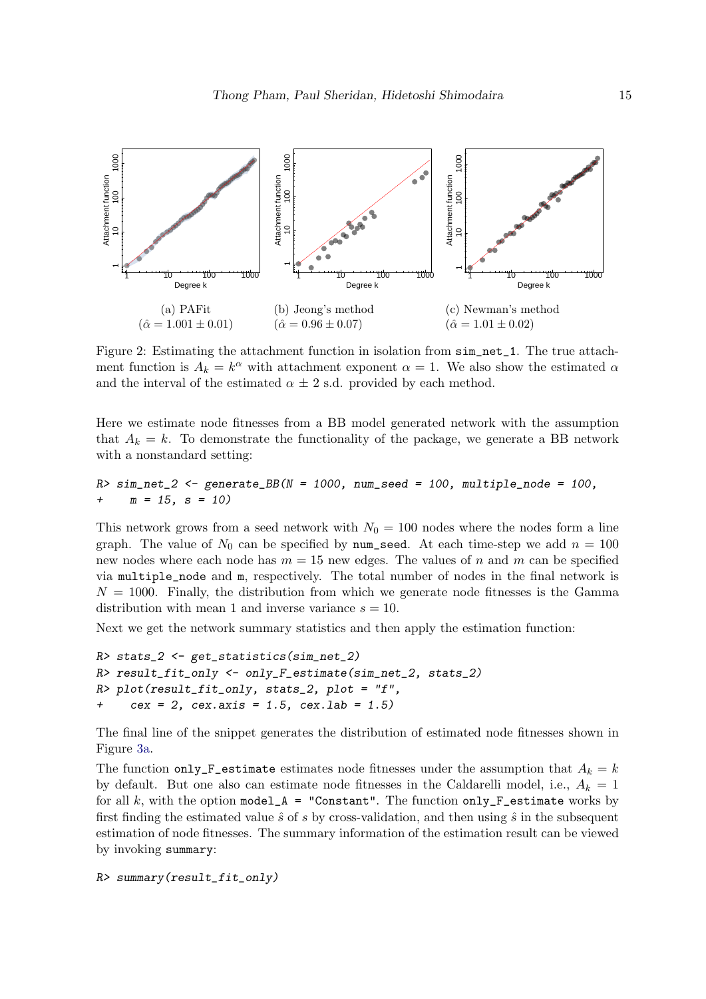<span id="page-14-0"></span>

Figure 2: Estimating the attachment function in isolation from  $\sin$ -net-1. The true attachment function is  $A_k = k^{\alpha}$  with attachment exponent  $\alpha = 1$ . We also show the estimated  $\alpha$ and the interval of the estimated  $\alpha \pm 2$  s.d. provided by each method.

Here we estimate node fitnesses from a BB model generated network with the assumption that  $A_k = k$ . To demonstrate the functionality of the package, we generate a BB network with a nonstandard setting:

```
R > sim\_net\_2 \leq generate\_BB(N = 1000, num\_seed = 100, multiple\_node = 100,+m = 15, s = 10
```
This network grows from a seed network with  $N_0 = 100$  nodes where the nodes form a line graph. The value of  $N_0$  can be specified by num\_seed. At each time-step we add  $n = 100$ new nodes where each node has  $m = 15$  new edges. The values of n and m can be specified via multiple\_node and m, respectively. The total number of nodes in the final network is  $N = 1000$ . Finally, the distribution from which we generate node fitnesses is the Gamma distribution with mean 1 and inverse variance  $s = 10$ .

Next we get the network summary statistics and then apply the estimation function:

```
R> stats_2 <- get_statistics(sim_net_2)
R> result_fit_only <- only_F_estimate(sim_net_2, stats_2)
R> plot(result_fit_only, stats_2, plot = "f",
     cex = 2, cex. axis = 1.5, cex. lab = 1.5
```
The final line of the snippet generates the distribution of estimated node fitnesses shown in Figure [3a.](#page-15-1)

The function only\_F\_estimate estimates node fitnesses under the assumption that  $A_k = k$ by default. But one also can estimate node fitnesses in the Caldarelli model, i.e.,  $A_k = 1$ for all k, with the option model\_A = "Constant". The function only\_F\_estimate works by first finding the estimated value  $\hat{s}$  of s by cross-validation, and then using  $\hat{s}$  in the subsequent estimation of node fitnesses. The summary information of the estimation result can be viewed by invoking summary:

R> summary(result\_fit\_only)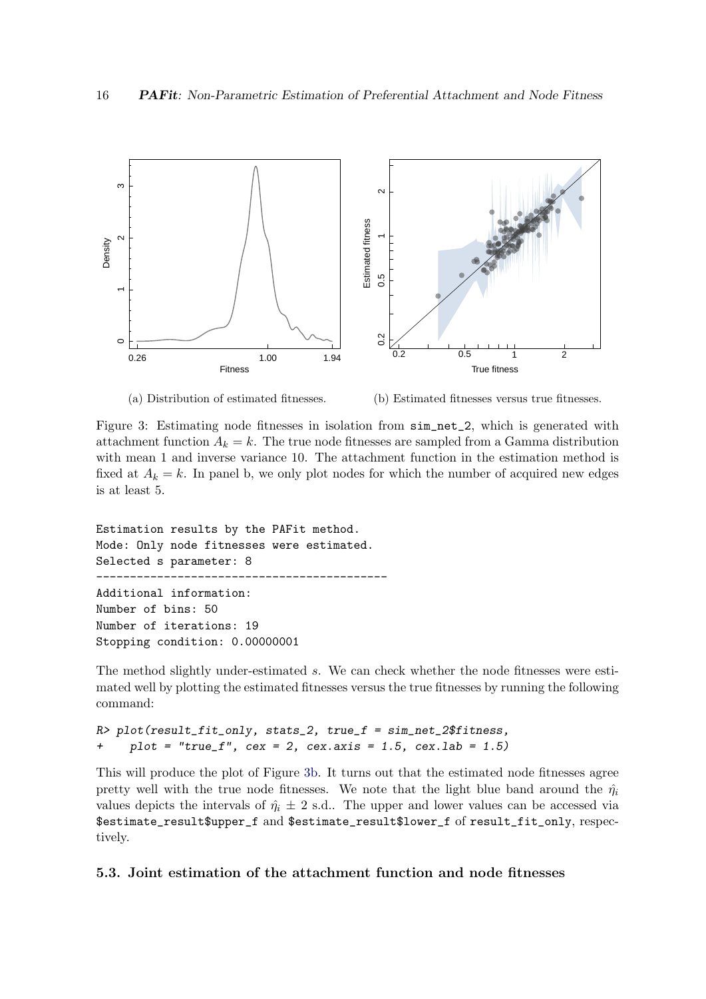<span id="page-15-1"></span>

(a) Distribution of estimated fitnesses.

(b) Estimated fitnesses versus true fitnesses.

Figure 3: Estimating node fitnesses in isolation from sim\_net\_2, which is generated with attachment function  $A_k = k$ . The true node fitnesses are sampled from a Gamma distribution with mean 1 and inverse variance 10. The attachment function in the estimation method is fixed at  $A_k = k$ . In panel b, we only plot nodes for which the number of acquired new edges is at least 5.

Estimation results by the PAFit method. Mode: Only node fitnesses were estimated. Selected s parameter: 8 ------------------------------------------- Additional information: Number of bins: 50 Number of iterations: 19 Stopping condition: 0.00000001

The method slightly under-estimated s. We can check whether the node fitnesses were estimated well by plotting the estimated fitnesses versus the true fitnesses by running the following command:

```
R> plot(result_fit_only, stats_2, true_f = sim_net_2$fitness,
+ plot = "true_f", cex = 2, cex. axis = 1.5, cex. lab = 1.5)
```
This will produce the plot of Figure [3b.](#page-15-1) It turns out that the estimated node fitnesses agree pretty well with the true node fitnesses. We note that the light blue band around the  $\hat{\eta}_i$ values depicts the intervals of  $\hat{\eta}_i \pm 2$  s.d.. The upper and lower values can be accessed via \$estimate\_result\$upper\_f and \$estimate\_result\$lower\_f of result\_fit\_only, respectively.

#### <span id="page-15-0"></span>5.3. Joint estimation of the attachment function and node fitnesses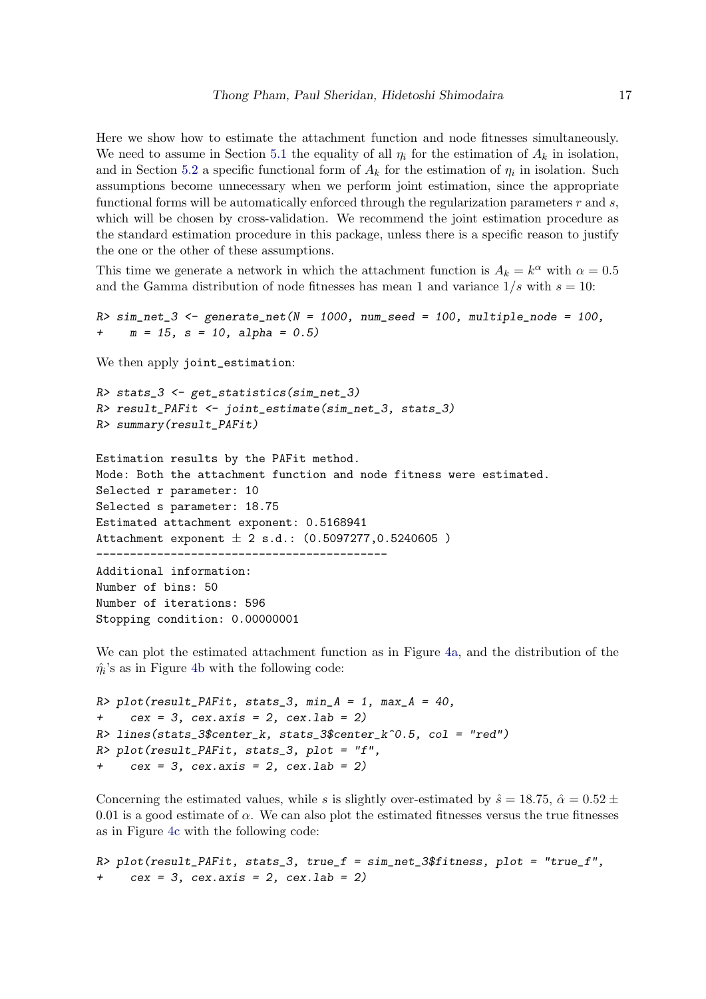Here we show how to estimate the attachment function and node fitnesses simultaneously. We need to assume in Section [5.1](#page-11-1) the equality of all  $\eta_i$  for the estimation of  $A_k$  in isolation, and in Section [5.2](#page-13-0) a specific functional form of  $A_k$  for the estimation of  $\eta_i$  in isolation. Such assumptions become unnecessary when we perform joint estimation, since the appropriate functional forms will be automatically enforced through the regularization parameters  $r$  and  $s$ , which will be chosen by cross-validation. We recommend the joint estimation procedure as the standard estimation procedure in this package, unless there is a specific reason to justify the one or the other of these assumptions.

This time we generate a network in which the attachment function is  $A_k = k^{\alpha}$  with  $\alpha = 0.5$ and the Gamma distribution of node fitnesses has mean 1 and variance  $1/s$  with  $s = 10$ :

```
R > sim\_net\_3 <- generate_net(N = 1000, num_seed = 100, multiple_node = 100,
+ m = 15, s = 10, alpha = 0.5)
```
We then apply joint\_estimation:

```
R> stats_3 <- get_statistics(sim_net_3)
R> result_PAFit <- joint_estimate(sim_net_3, stats_3)
R> summary(result_PAFit)
```
Estimation results by the PAFit method. Mode: Both the attachment function and node fitness were estimated. Selected r parameter: 10 Selected s parameter: 18.75 Estimated attachment exponent: 0.5168941 Attachment exponent  $\pm$  2 s.d.: (0.5097277,0.5240605) ------------------------------------------- Additional information:

Number of bins: 50 Number of iterations: 596 Stopping condition: 0.00000001

We can plot the estimated attachment function as in Figure [4a,](#page-17-1) and the distribution of the  $\hat{\eta}_i$ 's as in Figure [4b](#page-17-1) with the following code:

```
R> plot(result_PAFit, stats_3, min_A = 1, max_A = 40,
     cex = 3, cex.axis = 2, cex.lab = 2)
R> lines(stats_3$center_k, stats_3$center_k^0.5, col = "red")
R> plot(result_PAFit, stats_3, plot = "f",
+ cex = 3, cex. axis = 2, cex. lab = 2)
```
Concerning the estimated values, while s is slightly over-estimated by  $\hat{s} = 18.75$ ,  $\hat{\alpha} = 0.52 \pm 1.5$ 0.01 is a good estimate of  $\alpha$ . We can also plot the estimated fitnesses versus the true fitnesses as in Figure [4c](#page-17-1) with the following code:

 $R$ > plot(result\_PAFit, stats\_3, true\_f = sim\_net\_3\$fitness, plot = "true\_f",  $cex = 3$ ,  $cex.axis = 2$ ,  $cex.lab = 2$ )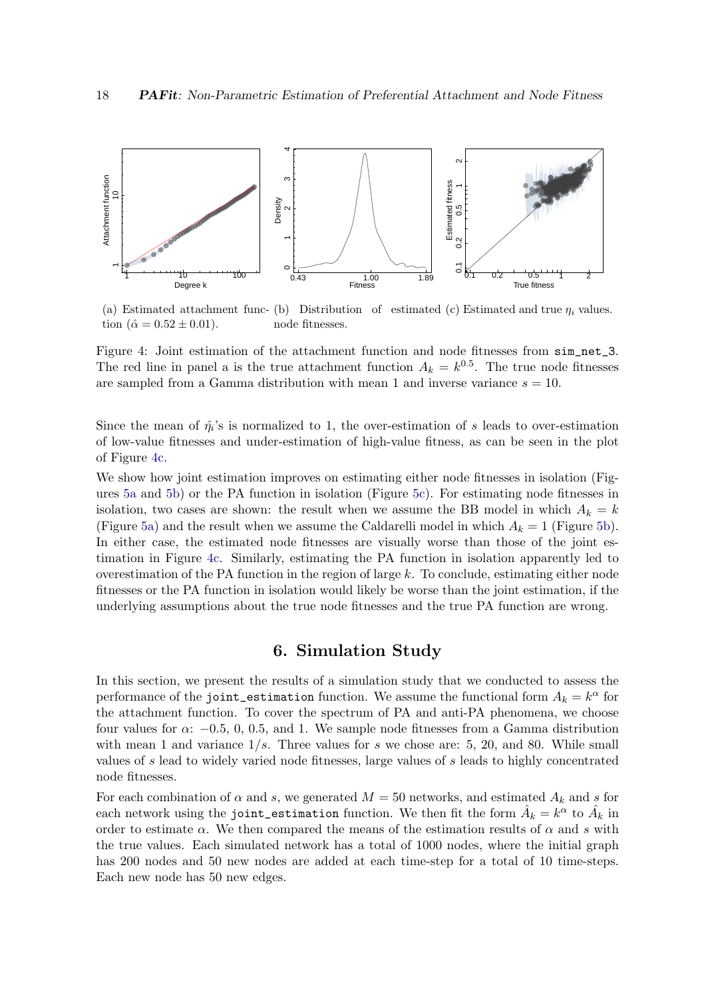<span id="page-17-1"></span>

(a) Estimated attachment func- (b) Distribution of estimated (c) Estimated and true  $\eta_i$  values. tion  $(\hat{\alpha} = 0.52 \pm 0.01)$ . node fitnesses.

Figure 4: Joint estimation of the attachment function and node fitnesses from sim\_net\_3. The red line in panel a is the true attachment function  $A_k = k^{0.5}$ . The true node fitnesses are sampled from a Gamma distribution with mean 1 and inverse variance  $s = 10$ .

Since the mean of  $\hat{\eta}_i$ 's is normalized to 1, the over-estimation of s leads to over-estimation of low-value fitnesses and under-estimation of high-value fitness, as can be seen in the plot of Figure [4c.](#page-17-1)

We show how joint estimation improves on estimating either node fitnesses in isolation (Figures [5a](#page-18-1) and [5b\)](#page-18-1) or the PA function in isolation (Figure [5c\)](#page-18-1). For estimating node fitnesses in isolation, two cases are shown: the result when we assume the BB model in which  $A_k = k$ (Figure [5a\)](#page-18-1) and the result when we assume the Caldarelli model in which  $A_k = 1$  (Figure [5b\)](#page-18-1). In either case, the estimated node fitnesses are visually worse than those of the joint estimation in Figure [4c.](#page-17-1) Similarly, estimating the PA function in isolation apparently led to overestimation of the PA function in the region of large  $k$ . To conclude, estimating either node fitnesses or the PA function in isolation would likely be worse than the joint estimation, if the underlying assumptions about the true node fitnesses and the true PA function are wrong.

## 6. Simulation Study

<span id="page-17-0"></span>In this section, we present the results of a simulation study that we conducted to assess the performance of the joint\_estimation function. We assume the functional form  $A_k = k^{\alpha}$  for the attachment function. To cover the spectrum of PA and anti-PA phenomena, we choose four values for  $\alpha$ : −0.5, 0, 0.5, and 1. We sample node fitnesses from a Gamma distribution with mean 1 and variance  $1/s$ . Three values for s we chose are: 5, 20, and 80. While small values of s lead to widely varied node fitnesses, large values of s leads to highly concentrated node fitnesses.

For each combination of  $\alpha$  and s, we generated  $M = 50$  networks, and estimated  $A_k$  and s for each network using the joint\_estimation function. We then fit the form  $\hat{A}_k = k^\alpha$  to  $\hat{A}_k$  in order to estimate  $\alpha$ . We then compared the means of the estimation results of  $\alpha$  and s with the true values. Each simulated network has a total of 1000 nodes, where the initial graph has 200 nodes and 50 new nodes are added at each time-step for a total of 10 time-steps. Each new node has 50 new edges.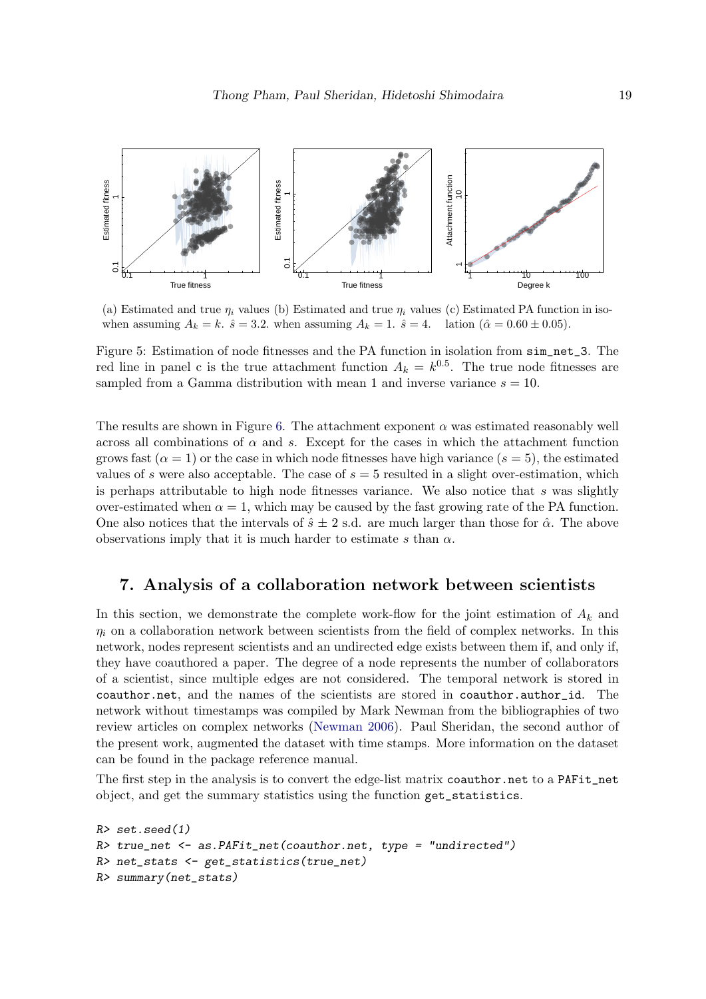<span id="page-18-1"></span>

(a) Estimated and true  $\eta_i$  values (b) Estimated and true  $\eta_i$  values (c) Estimated PA function in isowhen assuming  $A_k = k$ .  $\hat{s} = 3.2$ . when assuming  $A_k = 1$ .  $\hat{s} = 4$ . lation  $(\hat{\alpha} = 0.60 \pm 0.05)$ .

Figure 5: Estimation of node fitnesses and the PA function in isolation from  $\sin$ net 3. The red line in panel c is the true attachment function  $A_k = k^{0.5}$ . The true node fitnesses are sampled from a Gamma distribution with mean 1 and inverse variance  $s = 10$ .

The results are shown in Figure [6.](#page-19-0) The attachment exponent  $\alpha$  was estimated reasonably well across all combinations of  $\alpha$  and s. Except for the cases in which the attachment function grows fast  $(\alpha = 1)$  or the case in which node fitnesses have high variance  $(s = 5)$ , the estimated values of s were also acceptable. The case of  $s = 5$  resulted in a slight over-estimation, which is perhaps attributable to high node fitnesses variance. We also notice that  $s$  was slightly over-estimated when  $\alpha = 1$ , which may be caused by the fast growing rate of the PA function. One also notices that the intervals of  $\hat{s} \pm 2$  s.d. are much larger than those for  $\hat{\alpha}$ . The above observations imply that it is much harder to estimate s than  $\alpha$ .

## <span id="page-18-0"></span>7. Analysis of a collaboration network between scientists

In this section, we demonstrate the complete work-flow for the joint estimation of  $A_k$  and  $\eta_i$  on a collaboration network between scientists from the field of complex networks. In this network, nodes represent scientists and an undirected edge exists between them if, and only if, they have coauthored a paper. The degree of a node represents the number of collaborators of a scientist, since multiple edges are not considered. The temporal network is stored in coauthor.net, and the names of the scientists are stored in coauthor.author\_id. The network without timestamps was compiled by Mark Newman from the bibliographies of two review articles on complex networks [\(Newman](#page-27-14) [2006\)](#page-27-14). Paul Sheridan, the second author of the present work, augmented the dataset with time stamps. More information on the dataset can be found in the package reference manual.

The first step in the analysis is to convert the edge-list matrix coauthor.net to a PAFit\_net object, and get the summary statistics using the function get\_statistics.

```
R> set.seed(1)
R> true_net <- as.PAFit_net(coauthor.net, type = "undirected")
R> net_stats <- get_statistics(true_net)
R> summary(net_stats)
```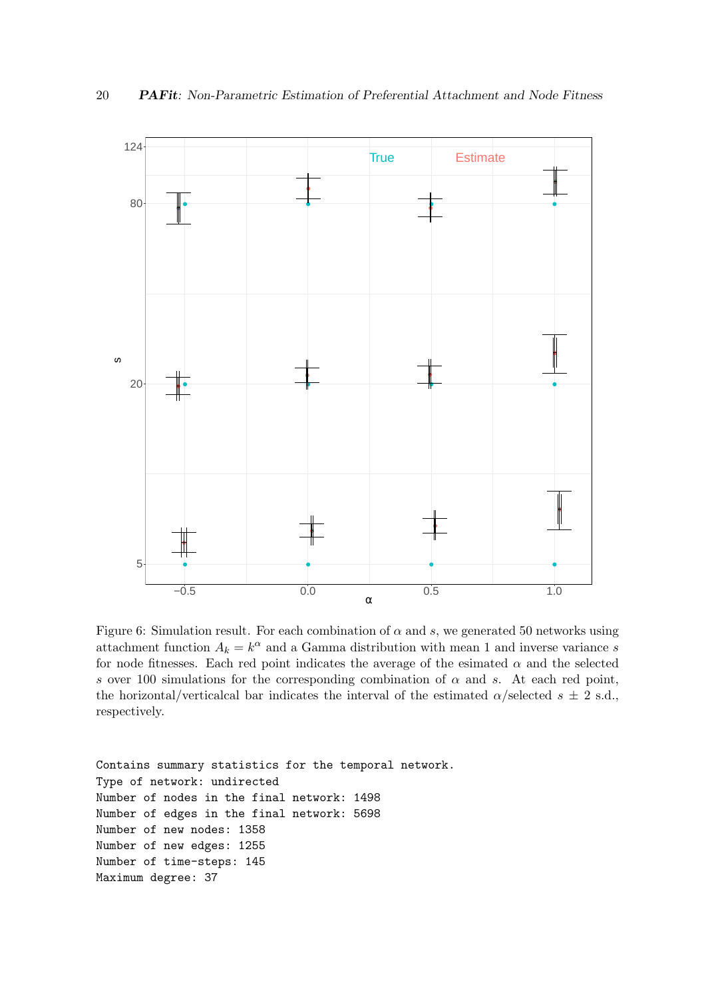<span id="page-19-0"></span>

Figure 6: Simulation result. For each combination of  $\alpha$  and  $s$ , we generated 50 networks using attachment function  $A_k = k^{\alpha}$  and a Gamma distribution with mean 1 and inverse variance s for node fitnesses. Each red point indicates the average of the esimated  $\alpha$  and the selected s over 100 simulations for the corresponding combination of  $\alpha$  and s. At each red point, the horizontal/verticalcal bar indicates the interval of the estimated  $\alpha$ /selected  $s \pm 2$  s.d., respectively.

Contains summary statistics for the temporal network. Type of network: undirected Number of nodes in the final network: 1498 Number of edges in the final network: 5698 Number of new nodes: 1358 Number of new edges: 1255 Number of time-steps: 145 Maximum degree: 37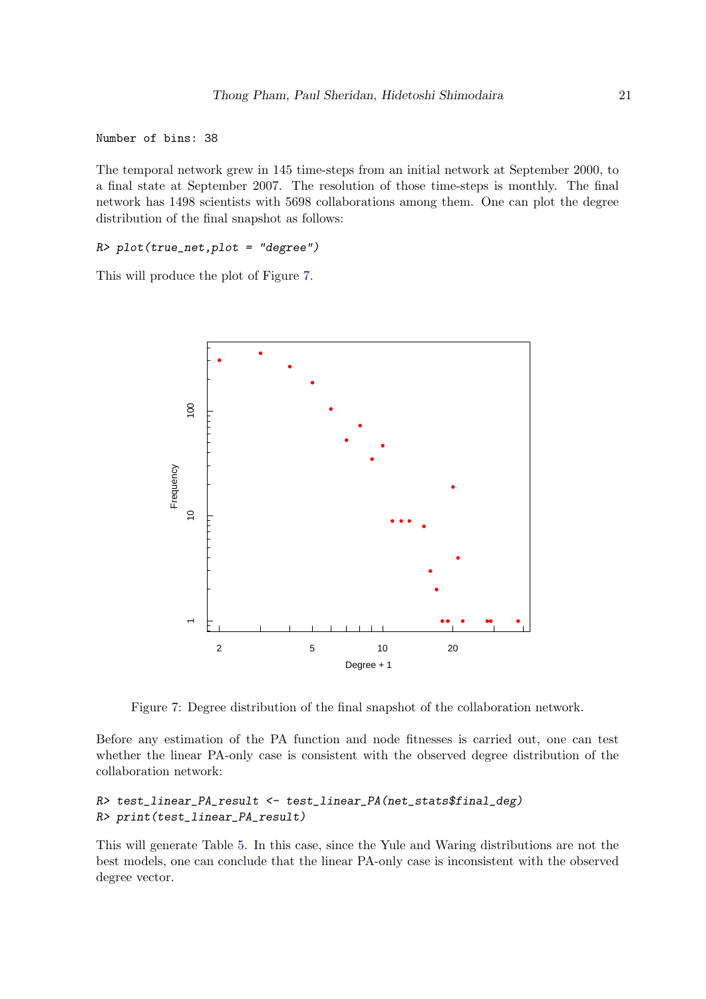Number of bins: 38

The temporal network grew in 145 time-steps from an initial network at September 2000, to a final state at September 2007. The resolution of those time-steps is monthly. The final network has 1498 scientists with 5698 collaborations among them. One can plot the degree distribution of the final snapshot as follows:

R> plot(true\_net,plot = "degree")

<span id="page-20-0"></span>This will produce the plot of Figure [7.](#page-20-0)



Figure 7: Degree distribution of the final snapshot of the collaboration network.

Before any estimation of the PA function and node fitnesses is carried out, one can test whether the linear PA-only case is consistent with the observed degree distribution of the collaboration network:

#### R> test\_linear\_PA\_result <- test\_linear\_PA(net\_stats\$final\_deg) R> print(test\_linear\_PA\_result)

This will generate Table [5.](#page-21-0) In this case, since the Yule and Waring distributions are not the best models, one can conclude that the linear PA-only case is inconsistent with the observed degree vector.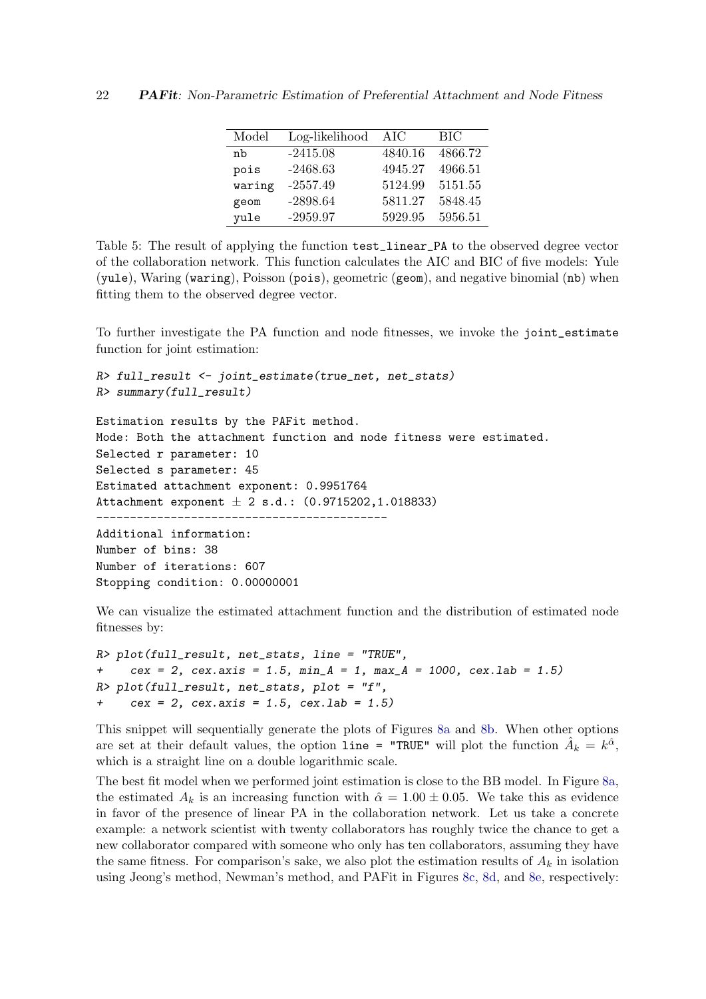| Model  | Log-likelihood | AIC     | <b>BIC</b> |
|--------|----------------|---------|------------|
| nb     | $-2415.08$     | 4840.16 | 4866.72    |
| pois   | $-2468.63$     | 4945.27 | 4966.51    |
| waring | $-2557.49$     | 5124.99 | 5151.55    |
| geom   | $-2898.64$     | 5811.27 | 5848.45    |
| yule   | $-2959.97$     | 5929.95 | 5956.51    |

<span id="page-21-0"></span>Table 5: The result of applying the function test\_linear\_PA to the observed degree vector of the collaboration network. This function calculates the AIC and BIC of five models: Yule (yule), Waring (waring), Poisson (pois), geometric (geom), and negative binomial (nb) when fitting them to the observed degree vector.

To further investigate the PA function and node fitnesses, we invoke the joint\_estimate function for joint estimation:

```
R> full_result <- joint_estimate(true_net, net_stats)
R> summary(full_result)
Estimation results by the PAFit method.
Mode: Both the attachment function and node fitness were estimated.
Selected r parameter: 10
Selected s parameter: 45
Estimated attachment exponent: 0.9951764
Attachment exponent \pm 2 s.d.: (0.9715202,1.018833)
-------------------------------------------
Additional information:
Number of bins: 38
Number of iterations: 607
Stopping condition: 0.00000001
```
We can visualize the estimated attachment function and the distribution of estimated node fitnesses by:

```
R> plot(full_result, net_stats, line = "TRUE",
     cex = 2, cex. axis = 1.5, min_A = 1, max_A = 1000, cex. lab = 1.5)R> plot(full_result, net_stats, plot = "f",
     cex = 2, cex. axis = 1.5, cex. lab = 1.5
```
This snippet will sequentially generate the plots of Figures [8a](#page-22-0) and [8b.](#page-22-0) When other options are set at their default values, the option line = "TRUE" will plot the function  $\hat{A}_k = k^{\hat{\alpha}}$ , which is a straight line on a double logarithmic scale.

The best fit model when we performed joint estimation is close to the BB model. In Figure [8a,](#page-22-0) the estimated  $A_k$  is an increasing function with  $\hat{\alpha} = 1.00 \pm 0.05$ . We take this as evidence in favor of the presence of linear PA in the collaboration network. Let us take a concrete example: a network scientist with twenty collaborators has roughly twice the chance to get a new collaborator compared with someone who only has ten collaborators, assuming they have the same fitness. For comparison's sake, we also plot the estimation results of  $A_k$  in isolation using Jeong's method, Newman's method, and PAFit in Figures [8c,](#page-22-0) [8d,](#page-22-0) and [8e,](#page-22-0) respectively: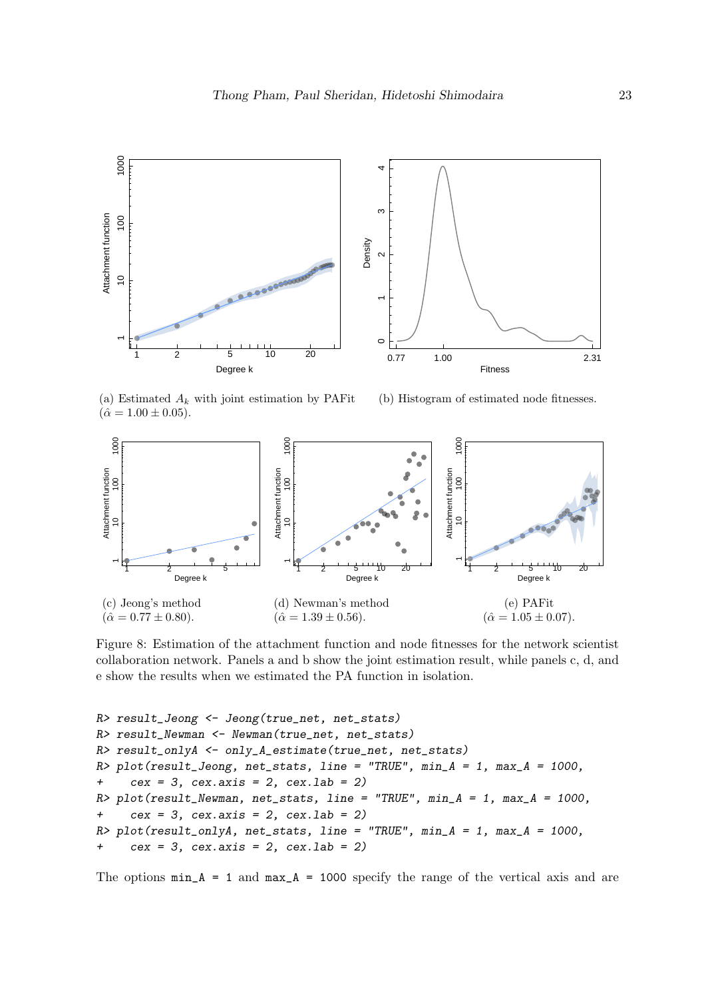<span id="page-22-0"></span>

(a) Estimated  $A_k$  with joint estimation by PAFit  $(\hat{\alpha} = 1.00 \pm 0.05).$ 

(b) Histogram of estimated node fitnesses.



Figure 8: Estimation of the attachment function and node fitnesses for the network scientist collaboration network. Panels a and b show the joint estimation result, while panels c, d, and e show the results when we estimated the PA function in isolation.

```
R> result_Jeong <- Jeong(true_net, net_stats)
R> result_Newman <- Newman(true_net, net_stats)
R> result_onlyA <- only_A_estimate(true_net, net_stats)
R> plot(result_Jeong, net_stats, line = "TRUE", min_A = 1, max_A = 1000,
+ cex = 3, cex. axis = 2, cex. lab = 2)
R> plot(result_Newman, net_stats, line = "TRUE", min_A = 1, max_A = 1000,
+ cex = 3, cex. axis = 2, cex. lab = 2)
R> plot(result_onlyA, net_stats, line = "TRUE", min_A = 1, max_A = 1000,
+ cex = 3, cex. axis = 2, cex. lab = 2)
```
The options  $min_A = 1$  and  $max_A = 1000$  specify the range of the vertical axis and are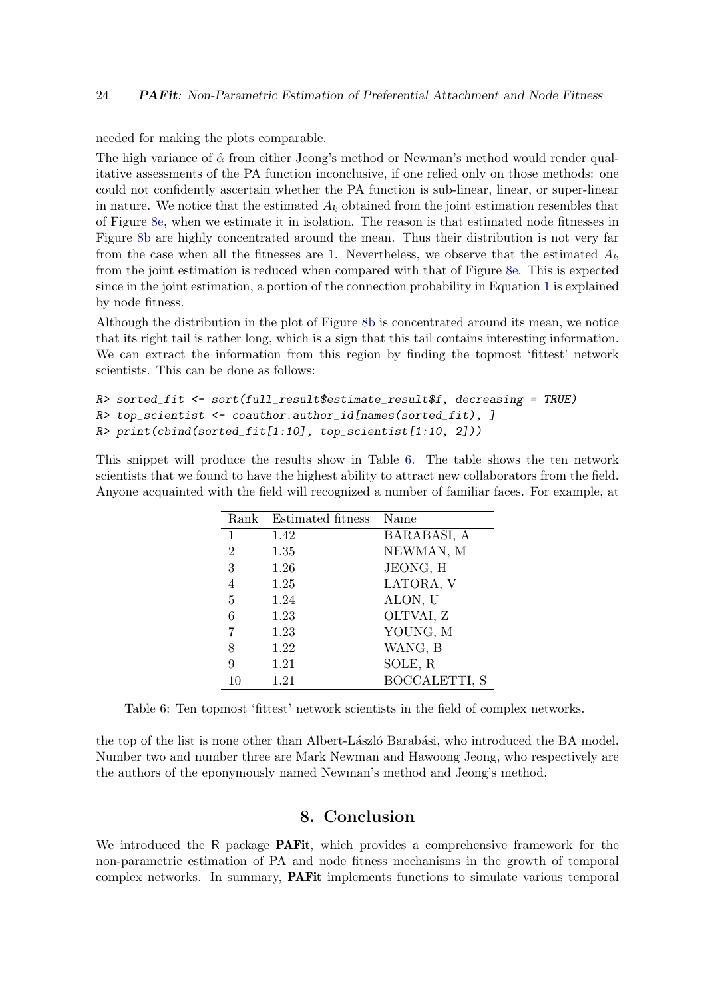needed for making the plots comparable.

The high variance of  $\hat{\alpha}$  from either Jeong's method or Newman's method would render qualitative assessments of the PA function inconclusive, if one relied only on those methods: one could not confidently ascertain whether the PA function is sub-linear, linear, or super-linear in nature. We notice that the estimated  $A_k$  obtained from the joint estimation resembles that of Figure [8e,](#page-22-0) when we estimate it in isolation. The reason is that estimated node fitnesses in Figure [8b](#page-22-0) are highly concentrated around the mean. Thus their distribution is not very far from the case when all the fitnesses are 1. Nevertheless, we observe that the estimated  $A_k$ from the joint estimation is reduced when compared with that of Figure [8e.](#page-22-0) This is expected since in the joint estimation, a portion of the connection probability in Equation [1](#page-2-0) is explained by node fitness.

Although the distribution in the plot of Figure [8b](#page-22-0) is concentrated around its mean, we notice that its right tail is rather long, which is a sign that this tail contains interesting information. We can extract the information from this region by finding the topmost 'fittest' network scientists. This can be done as follows:

```
R> sorted fit <- sort(full_result$estimate_result$f, decreasing = TRUE)
R> top_scientist <- coauthor.author_id[names(sorted_fit), ]
R> print(cbind(sorted_fit[1:10], top_scientist[1:10, 2]))
```
<span id="page-23-1"></span>This snippet will produce the results show in Table [6.](#page-23-1) The table shows the ten network scientists that we found to have the highest ability to attract new collaborators from the field. Anyone acquainted with the field will recognized a number of familiar faces. For example, at

| Rank           | Estimated fitness | Name                 |
|----------------|-------------------|----------------------|
| $\mathbf{1}$   | 1.42              | BARABASI, A          |
| $\overline{2}$ | 1.35              | NEWMAN, M            |
| 3              | 1.26              | JEONG, H             |
| 4              | 1.25              | LATORA, V            |
| 5              | 1.24              | ALON, U              |
| 6              | 1.23              | OLTVAI, Z            |
| 7              | 1.23              | YOUNG, M             |
| 8              | 1.22              | WANG, B              |
| 9              | 1.21              | SOLE, R              |
|                | 1.21              | <b>BOCCALETTI, S</b> |

Table 6: Ten topmost 'fittest' network scientists in the field of complex networks.

the top of the list is none other than Albert-László Barabási, who introduced the BA model. Number two and number three are Mark Newman and Hawoong Jeong, who respectively are the authors of the eponymously named Newman's method and Jeong's method.

## 8. Conclusion

<span id="page-23-0"></span>We introduced the R package **PAFit**, which provides a comprehensive framework for the non-parametric estimation of PA and node fitness mechanisms in the growth of temporal complex networks. In summary, PAFit implements functions to simulate various temporal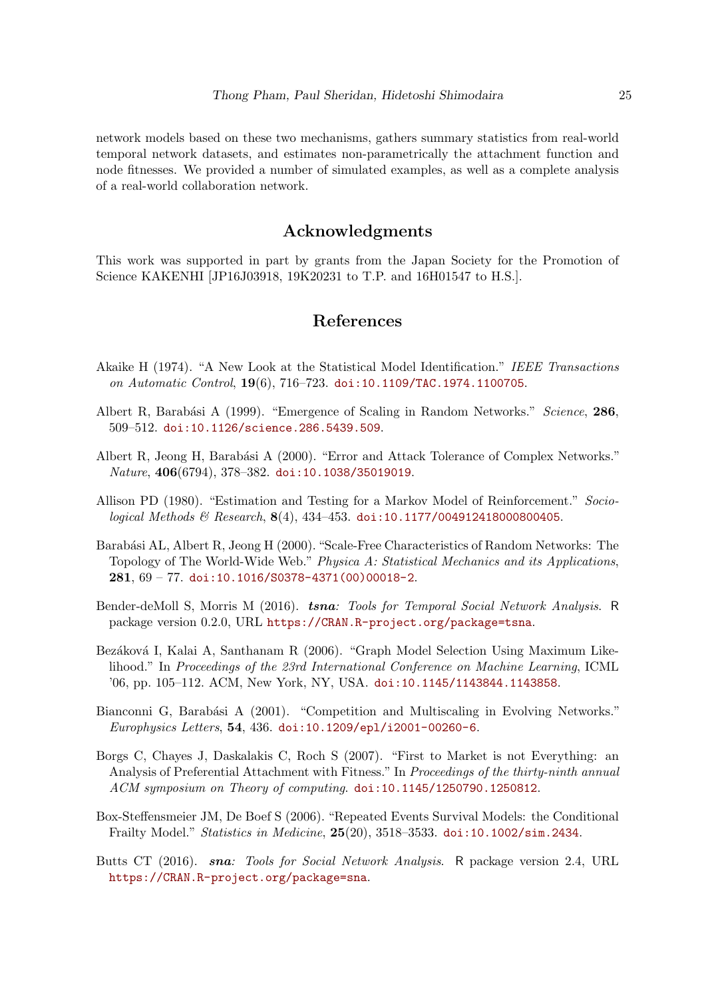network models based on these two mechanisms, gathers summary statistics from real-world temporal network datasets, and estimates non-parametrically the attachment function and node fitnesses. We provided a number of simulated examples, as well as a complete analysis of a real-world collaboration network.

## Acknowledgments

This work was supported in part by grants from the Japan Society for the Promotion of Science KAKENHI [JP16J03918, 19K20231 to T.P. and 16H01547 to H.S.].

## References

- <span id="page-24-8"></span>Akaike H (1974). "A New Look at the Statistical Model Identification." IEEE Transactions on Automatic Control, 19(6), 716–723. [doi:10.1109/TAC.1974.1100705](http://dx.doi.org/10.1109/TAC.1974.1100705).
- <span id="page-24-2"></span>Albert R. Barabási A (1999). "Emergence of Scaling in Random Networks." Science, 286, 509–512. [doi:10.1126/science.286.5439.509](http://dx.doi.org/10.1126/science.286.5439.509).
- <span id="page-24-1"></span>Albert R, Jeong H, Barabási A (2000). "Error and Attack Tolerance of Complex Networks." Nature, 406(6794), 378–382. [doi:10.1038/35019019](http://dx.doi.org/10.1038/35019019).
- <span id="page-24-6"></span>Allison PD (1980). "Estimation and Testing for a Markov Model of Reinforcement." Sociological Methods & Research,  $8(4)$ ,  $434-453$ . [doi:10.1177/004912418000800405](http://dx.doi.org/10.1177/004912418000800405).
- <span id="page-24-0"></span>Barabási AL, Albert R, Jeong H (2000). "Scale-Free Characteristics of Random Networks: The Topology of The World-Wide Web." Physica A: Statistical Mechanics and its Applications, 281, 69 – 77. [doi:10.1016/S0378-4371\(00\)00018-2](http://dx.doi.org/10.1016/S0378-4371(00)00018-2).
- <span id="page-24-10"></span>Bender-deMoll S, Morris M (2016). tsna: Tools for Temporal Social Network Analysis. R package version 0.2.0, URL <https://CRAN.R-project.org/package=tsna>.
- <span id="page-24-5"></span>Bezáková I, Kalai A, Santhanam R (2006). "Graph Model Selection Using Maximum Likelihood." In Proceedings of the 23rd International Conference on Machine Learning, ICML '06, pp. 105–112. ACM, New York, NY, USA. [doi:10.1145/1143844.1143858](http://dx.doi.org/10.1145/1143844.1143858).
- <span id="page-24-3"></span>Bianconni G, Barabási A (2001). "Competition and Multiscaling in Evolving Networks." Europhysics Letters, 54, 436. [doi:10.1209/epl/i2001-00260-6](http://dx.doi.org/10.1209/epl/i2001-00260-6).
- <span id="page-24-4"></span>Borgs C, Chayes J, Daskalakis C, Roch S (2007). "First to Market is not Everything: an Analysis of Preferential Attachment with Fitness." In Proceedings of the thirty-ninth annual ACM symposium on Theory of computing. [doi:10.1145/1250790.1250812](http://dx.doi.org/10.1145/1250790.1250812).
- <span id="page-24-7"></span>Box-Steffensmeier JM, De Boef S (2006). "Repeated Events Survival Models: the Conditional Frailty Model." Statistics in Medicine, 25(20), 3518–3533. [doi:10.1002/sim.2434](http://dx.doi.org/10.1002/sim.2434).
- <span id="page-24-9"></span>Butts CT (2016). sna: Tools for Social Network Analysis. R package version 2.4, URL <https://CRAN.R-project.org/package=sna>.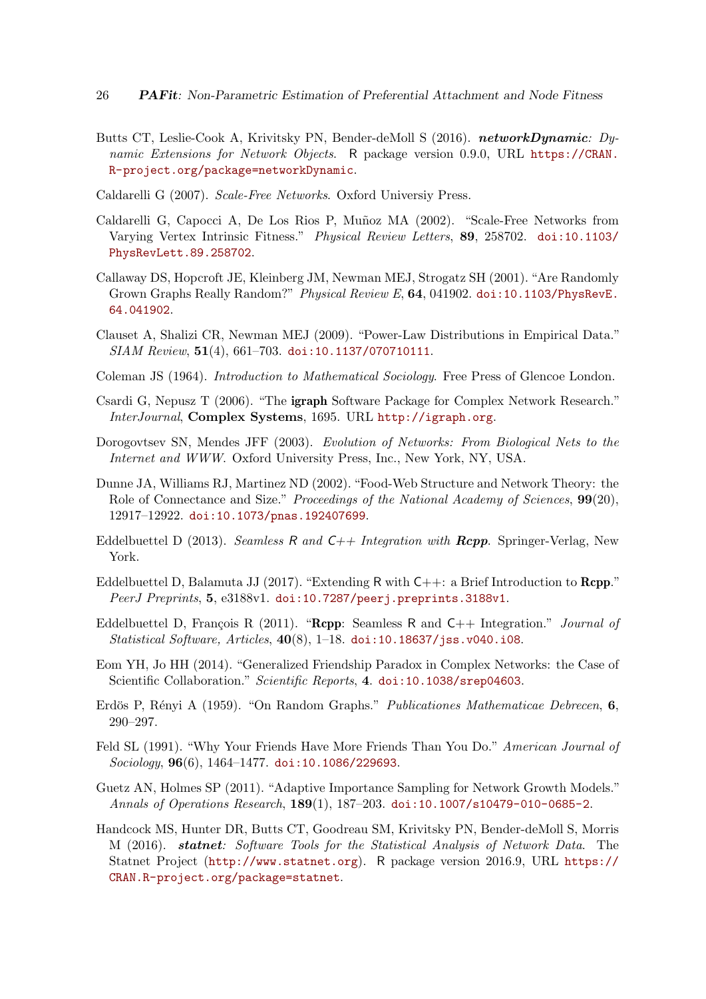- <span id="page-25-16"></span>Butts CT, Leslie-Cook A, Krivitsky PN, Bender-deMoll S (2016). networkDynamic: Dynamic Extensions for Network Objects. R package version 0.9.0, URL [https://CRAN.](https://CRAN.R-project.org/package=networkDynamic) [R-project.org/package=networkDynamic](https://CRAN.R-project.org/package=networkDynamic).
- <span id="page-25-1"></span>Caldarelli G (2007). Scale-Free Networks. Oxford Universiy Press.
- <span id="page-25-5"></span>Caldarelli G, Capocci A, De Los Rios P, Muñoz MA (2002). "Scale-Free Networks from Varying Vertex Intrinsic Fitness." Physical Review Letters, 89, 258702. [doi:10.1103/](http://dx.doi.org/10.1103/PhysRevLett.89.258702) [PhysRevLett.89.258702](http://dx.doi.org/10.1103/PhysRevLett.89.258702).
- <span id="page-25-9"></span>Callaway DS, Hopcroft JE, Kleinberg JM, Newman MEJ, Strogatz SH (2001). "Are Randomly Grown Graphs Really Random?" Physical Review E, 64, 041902. [doi:10.1103/PhysRevE.](http://dx.doi.org/10.1103/PhysRevE.64.041902) [64.041902](http://dx.doi.org/10.1103/PhysRevE.64.041902).
- <span id="page-25-3"></span>Clauset A, Shalizi CR, Newman MEJ (2009). "Power-Law Distributions in Empirical Data." SIAM Review, 51(4), 661–703. [doi:10.1137/070710111](http://dx.doi.org/10.1137/070710111).
- <span id="page-25-10"></span>Coleman JS (1964). Introduction to Mathematical Sociology. Free Press of Glencoe London.
- <span id="page-25-14"></span>Csardi G, Nepusz T (2006). "The igraph Software Package for Complex Network Research." InterJournal, Complex Systems, 1695. URL <http://igraph.org>.
- <span id="page-25-0"></span>Dorogovtsev SN, Mendes JFF (2003). Evolution of Networks: From Biological Nets to the Internet and WWW. Oxford University Press, Inc., New York, NY, USA.
- <span id="page-25-2"></span>Dunne JA, Williams RJ, Martinez ND (2002). "Food-Web Structure and Network Theory: the Role of Connectance and Size." Proceedings of the National Academy of Sciences, 99(20), 12917–12922. [doi:10.1073/pnas.192407699](http://dx.doi.org/10.1073/pnas.192407699).
- <span id="page-25-12"></span>Eddelbuettel D (2013). Seamless R and  $C++$  Integration with **Rcpp**. Springer-Verlag, New York.
- <span id="page-25-13"></span>Eddelbuettel D, Balamuta JJ (2017). "Extending R with  $C_{++}$ : a Brief Introduction to **Rcpp.**" PeerJ Preprints, 5, e3188v1. [doi:10.7287/peerj.preprints.3188v1](http://dx.doi.org/10.7287/peerj.preprints.3188v1).
- <span id="page-25-11"></span>Eddelbuettel D, François R (2011). "Rcpp: Seamless R and  $C_{++}$  Integration." *Journal of* Statistical Software, Articles,  $40(8)$ , 1–18. [doi:10.18637/jss.v040.i08](http://dx.doi.org/10.18637/jss.v040.i08).
- <span id="page-25-7"></span>Eom YH, Jo HH (2014). "Generalized Friendship Paradox in Complex Networks: the Case of Scientific Collaboration." Scientific Reports, 4. [doi:10.1038/srep04603](http://dx.doi.org/10.1038/srep04603).
- <span id="page-25-4"></span>Erdös P, Rényi A (1959). "On Random Graphs." Publicationes Mathematicae Debrecen, 6, 290–297.
- <span id="page-25-6"></span>Feld SL (1991). "Why Your Friends Have More Friends Than You Do." American Journal of Sociology, 96(6), 1464–1477. [doi:10.1086/229693](http://dx.doi.org/10.1086/229693).
- <span id="page-25-8"></span>Guetz AN, Holmes SP (2011). "Adaptive Importance Sampling for Network Growth Models." Annals of Operations Research, 189(1), 187–203. [doi:10.1007/s10479-010-0685-2](http://dx.doi.org/10.1007/s10479-010-0685-2).
- <span id="page-25-15"></span>Handcock MS, Hunter DR, Butts CT, Goodreau SM, Krivitsky PN, Bender-deMoll S, Morris M (2016). statnet: Software Tools for the Statistical Analysis of Network Data. The Statnet Project (<http://www.statnet.org>). R package version 2016.9, URL [https://](https://CRAN.R-project.org/package=statnet) [CRAN.R-project.org/package=statnet](https://CRAN.R-project.org/package=statnet).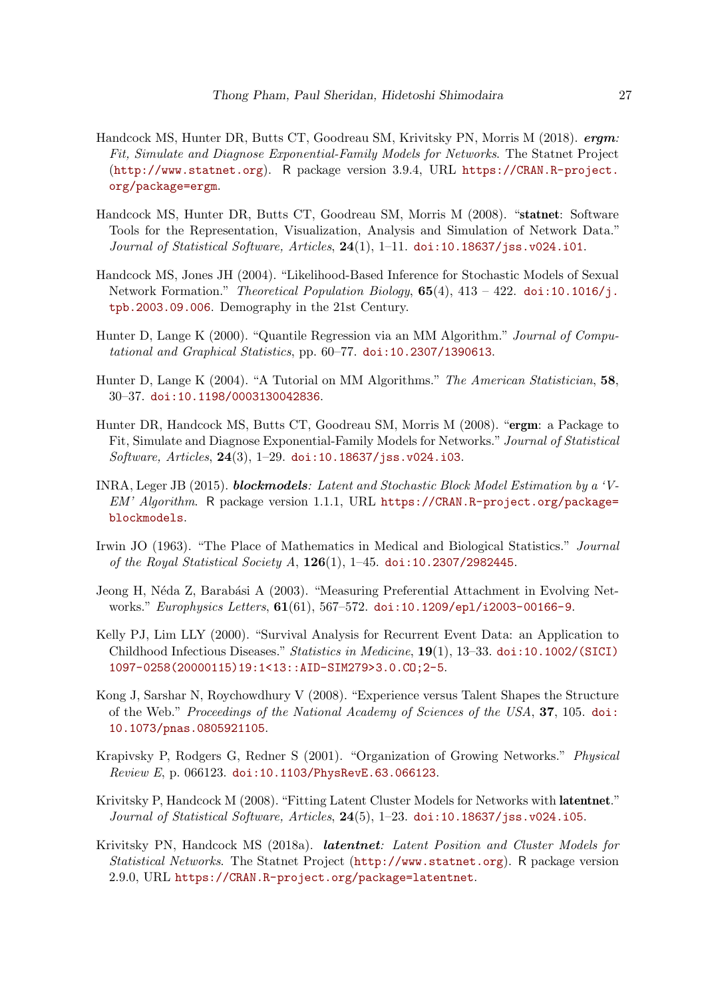- <span id="page-26-10"></span>Handcock MS, Hunter DR, Butts CT, Goodreau SM, Krivitsky PN, Morris M (2018). ergm: Fit, Simulate and Diagnose Exponential-Family Models for Networks. The Statnet Project (<http://www.statnet.org>). R package version 3.9.4, URL [https://CRAN.R-project.](https://CRAN.R-project.org/package=ergm) [org/package=ergm](https://CRAN.R-project.org/package=ergm).
- <span id="page-26-13"></span>Handcock MS, Hunter DR, Butts CT, Goodreau SM, Morris M (2008). "statnet: Software Tools for the Representation, Visualization, Analysis and Simulation of Network Data." Journal of Statistical Software, Articles, 24(1), 1-11. [doi:10.18637/jss.v024.i01](http://dx.doi.org/10.18637/jss.v024.i01).
- <span id="page-26-6"></span>Handcock MS, Jones JH (2004). "Likelihood-Based Inference for Stochastic Models of Sexual Network Formation." Theoretical Population Biology,  $65(4)$ ,  $413 - 422$ . [doi:10.1016/j.](http://dx.doi.org/10.1016/j.tpb.2003.09.006) [tpb.2003.09.006](http://dx.doi.org/10.1016/j.tpb.2003.09.006). Demography in the 21st Century.
- <span id="page-26-4"></span>Hunter D, Lange K (2000). "Quantile Regression via an MM Algorithm." Journal of Computational and Graphical Statistics, pp. 60–77. [doi:10.2307/1390613](http://dx.doi.org/10.2307/1390613).
- <span id="page-26-5"></span>Hunter D, Lange K (2004). "A Tutorial on MM Algorithms." The American Statistician, 58, 30–37. [doi:10.1198/0003130042836](http://dx.doi.org/10.1198/0003130042836).
- <span id="page-26-9"></span>Hunter DR, Handcock MS, Butts CT, Goodreau SM, Morris M (2008). "ergm: a Package to Fit, Simulate and Diagnose Exponential-Family Models for Networks." Journal of Statistical Software, Articles, 24(3), 1–29. [doi:10.18637/jss.v024.i03](http://dx.doi.org/10.18637/jss.v024.i03).
- <span id="page-26-8"></span>INRA, Leger JB (2015). blockmodels: Latent and Stochastic Block Model Estimation by a 'V-EM' Algorithm. R package version 1.1.1, URL [https://CRAN.R-project.org/package=](https://CRAN.R-project.org/package=blockmodels) [blockmodels](https://CRAN.R-project.org/package=blockmodels).
- <span id="page-26-7"></span>Irwin JO (1963). "The Place of Mathematics in Medical and Biological Statistics." Journal of the Royal Statistical Society A,  $126(1)$ , 1–45. [doi:10.2307/2982445](http://dx.doi.org/10.2307/2982445).
- <span id="page-26-2"></span>Jeong H, Néda Z, Barabási A (2003). "Measuring Preferential Attachment in Evolving Networks." *Europhysics Letters*, **61**(61), 567-572. [doi:10.1209/epl/i2003-00166-9](http://dx.doi.org/10.1209/epl/i2003-00166-9).
- <span id="page-26-3"></span>Kelly PJ, Lim LLY (2000). "Survival Analysis for Recurrent Event Data: an Application to Childhood Infectious Diseases." Statistics in Medicine, 19(1), 13–33. [doi:10.1002/\(SICI\)](http://dx.doi.org/10.1002/(SICI)1097-0258(20000115)19:1<13::AID-SIM279>3.0.CO;2-5) [1097-0258\(20000115\)19:1<13::AID-SIM279>3.0.CO;2-5](http://dx.doi.org/10.1002/(SICI)1097-0258(20000115)19:1<13::AID-SIM279>3.0.CO;2-5).
- <span id="page-26-1"></span>Kong J, Sarshar N, Roychowdhury V (2008). "Experience versus Talent Shapes the Structure of the Web." Proceedings of the National Academy of Sciences of the USA, 37, 105. [doi:](http://dx.doi.org/10.1073/pnas.0805921105) [10.1073/pnas.0805921105](http://dx.doi.org/10.1073/pnas.0805921105).
- <span id="page-26-0"></span>Krapivsky P, Rodgers G, Redner S (2001). "Organization of Growing Networks." Physical Review E, p. 066123. [doi:10.1103/PhysRevE.63.066123](http://dx.doi.org/10.1103/PhysRevE.63.066123).
- <span id="page-26-11"></span>Krivitsky P, Handcock M (2008). "Fitting Latent Cluster Models for Networks with latentnet." Journal of Statistical Software, Articles,  $24(5)$ ,  $1-23$ . [doi:10.18637/jss.v024.i05](http://dx.doi.org/10.18637/jss.v024.i05).
- <span id="page-26-12"></span>Krivitsky PN, Handcock MS (2018a). *latentnet: Latent Position and Cluster Models for* Statistical Networks. The Statnet Project (<http://www.statnet.org>). R package version 2.9.0, URL <https://CRAN.R-project.org/package=latentnet>.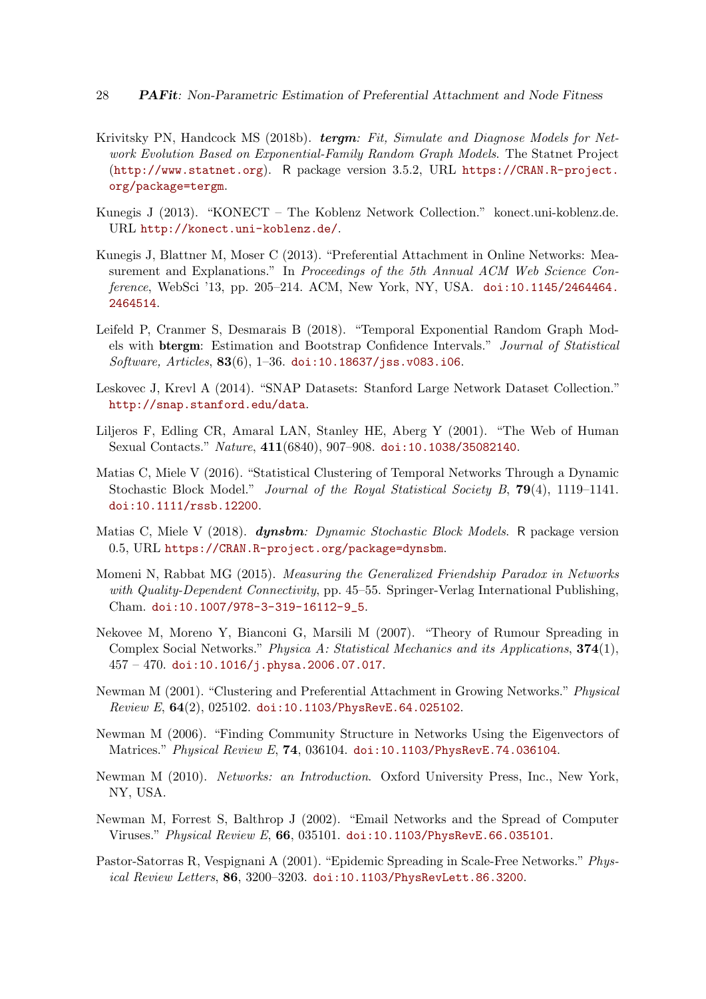- <span id="page-27-6"></span>Krivitsky PN, Handcock MS (2018b). tergm: Fit, Simulate and Diagnose Models for Network Evolution Based on Exponential-Family Random Graph Models. The Statnet Project (<http://www.statnet.org>). R package version 3.5.2, URL [https://CRAN.R-project.](https://CRAN.R-project.org/package=tergm) [org/package=tergm](https://CRAN.R-project.org/package=tergm).
- <span id="page-27-10"></span>Kunegis J (2013). "KONECT – The Koblenz Network Collection." konect.uni-koblenz.de. URL <http://konect.uni-koblenz.de/>.
- <span id="page-27-9"></span>Kunegis J, Blattner M, Moser C (2013). "Preferential Attachment in Online Networks: Measurement and Explanations." In Proceedings of the 5th Annual ACM Web Science Conference, WebSci '13, pp. 205-214. ACM, New York, NY, USA. [doi:10.1145/2464464.](http://dx.doi.org/10.1145/2464464.2464514) [2464514](http://dx.doi.org/10.1145/2464464.2464514).
- <span id="page-27-13"></span>Leifeld P, Cranmer S, Desmarais B (2018). "Temporal Exponential Random Graph Models with btergm: Estimation and Bootstrap Confidence Intervals." Journal of Statistical Software, Articles,  $83(6)$ , 1–36. [doi:10.18637/jss.v083.i06](http://dx.doi.org/10.18637/jss.v083.i06).
- <span id="page-27-11"></span>Leskovec J, Krevl A (2014). "SNAP Datasets: Stanford Large Network Dataset Collection." <http://snap.stanford.edu/data>.
- <span id="page-27-2"></span>Liljeros F, Edling CR, Amaral LAN, Stanley HE, Aberg Y (2001). "The Web of Human Sexual Contacts." Nature, 411(6840), 907–908. [doi:10.1038/35082140](http://dx.doi.org/10.1038/35082140).
- <span id="page-27-7"></span>Matias C, Miele V (2016). "Statistical Clustering of Temporal Networks Through a Dynamic Stochastic Block Model." Journal of the Royal Statistical Society B, 79(4), 1119–1141. [doi:10.1111/rssb.12200](http://dx.doi.org/10.1111/rssb.12200).
- <span id="page-27-12"></span>Matias C, Miele V (2018). **dynsbm**: Dynamic Stochastic Block Models. R package version 0.5, URL <https://CRAN.R-project.org/package=dynsbm>.
- <span id="page-27-8"></span>Momeni N, Rabbat MG (2015). Measuring the Generalized Friendship Paradox in Networks with Quality-Dependent Connectivity, pp. 45–55. Springer-Verlag International Publishing, Cham. [doi:10.1007/978-3-319-16112-9\\_5](http://dx.doi.org/10.1007/978-3-319-16112-9_5).
- <span id="page-27-3"></span>Nekovee M, Moreno Y, Bianconi G, Marsili M (2007). "Theory of Rumour Spreading in Complex Social Networks." Physica A: Statistical Mechanics and its Applications, 374(1),  $457 - 470$ . [doi:10.1016/j.physa.2006.07.017](http://dx.doi.org/10.1016/j.physa.2006.07.017).
- <span id="page-27-1"></span>Newman M (2001). "Clustering and Preferential Attachment in Growing Networks." Physical Review E, 64(2), 025102. [doi:10.1103/PhysRevE.64.025102](http://dx.doi.org/10.1103/PhysRevE.64.025102).
- <span id="page-27-14"></span>Newman M (2006). "Finding Community Structure in Networks Using the Eigenvectors of Matrices." Physical Review E, 74, 036104. [doi:10.1103/PhysRevE.74.036104](http://dx.doi.org/10.1103/PhysRevE.74.036104).
- <span id="page-27-0"></span>Newman M (2010). Networks: an Introduction. Oxford University Press, Inc., New York, NY, USA.
- <span id="page-27-5"></span>Newman M, Forrest S, Balthrop J (2002). "Email Networks and the Spread of Computer Viruses." Physical Review E, 66, 035101. [doi:10.1103/PhysRevE.66.035101](http://dx.doi.org/10.1103/PhysRevE.66.035101).
- <span id="page-27-4"></span>Pastor-Satorras R, Vespignani A (2001). "Epidemic Spreading in Scale-Free Networks." Physical Review Letters, 86, 3200–3203. [doi:10.1103/PhysRevLett.86.3200](http://dx.doi.org/10.1103/PhysRevLett.86.3200).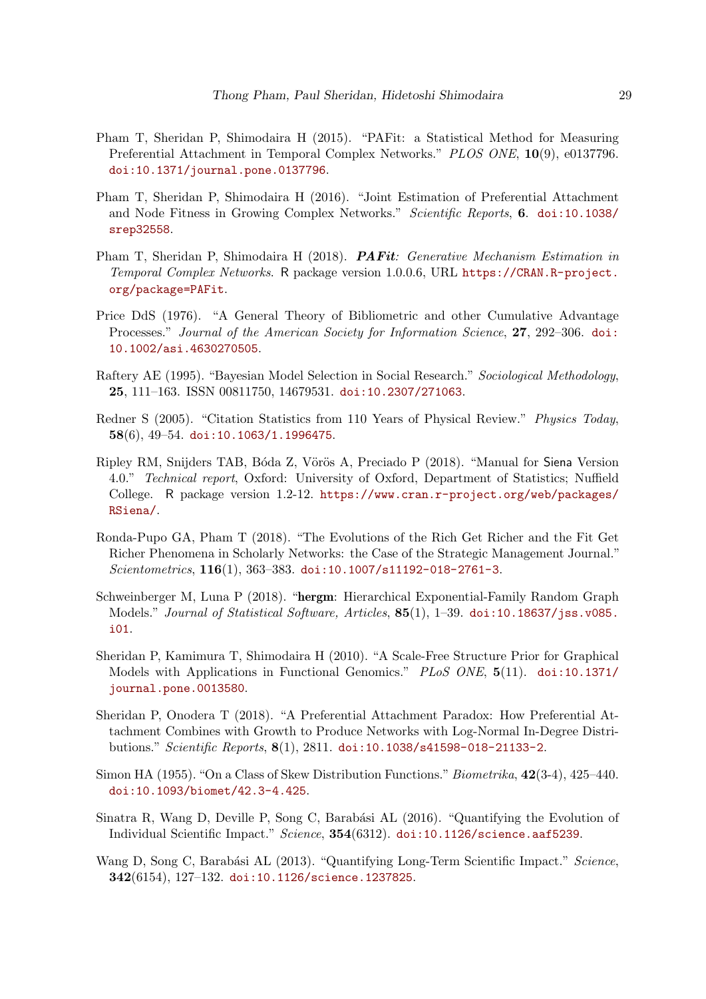- <span id="page-28-9"></span>Pham T, Sheridan P, Shimodaira H (2015). "PAFit: a Statistical Method for Measuring Preferential Attachment in Temporal Complex Networks." PLOS ONE, 10(9), e0137796. [doi:10.1371/journal.pone.0137796](http://dx.doi.org/10.1371/journal.pone.0137796).
- <span id="page-28-4"></span>Pham T, Sheridan P, Shimodaira H (2016). "Joint Estimation of Preferential Attachment and Node Fitness in Growing Complex Networks." Scientific Reports, 6. [doi:10.1038/](http://dx.doi.org/10.1038/srep32558) [srep32558](http://dx.doi.org/10.1038/srep32558).
- <span id="page-28-11"></span>Pham T, Sheridan P, Shimodaira H (2018). **PAFit:** Generative Mechanism Estimation in Temporal Complex Networks. R package version 1.0.0.6, URL [https://CRAN.R-project.](https://CRAN.R-project.org/package=PAFit) [org/package=PAFit](https://CRAN.R-project.org/package=PAFit).
- <span id="page-28-3"></span>Price DdS (1976). "A General Theory of Bibliometric and other Cumulative Advantage Processes." Journal of the American Society for Information Science, 27, 292–306. [doi:](http://dx.doi.org/10.1002/asi.4630270505) [10.1002/asi.4630270505](http://dx.doi.org/10.1002/asi.4630270505).
- <span id="page-28-12"></span>Raftery AE (1995). "Bayesian Model Selection in Social Research." Sociological Methodology, 25, 111–163. ISSN 00811750, 14679531. [doi:10.2307/271063](http://dx.doi.org/10.2307/271063).
- <span id="page-28-0"></span>Redner S (2005). "Citation Statistics from 110 Years of Physical Review." Physics Today, 58(6), 49–54. [doi:10.1063/1.1996475](http://dx.doi.org/10.1063/1.1996475).
- <span id="page-28-1"></span>Ripley RM, Snijders TAB, Bóda Z, Vörös A, Preciado P (2018). "Manual for Siena Version 4.0." Technical report, Oxford: University of Oxford, Department of Statistics; Nuffield College. R package version 1.2-12. [https://www.cran.r-project.org/web/packages/](https://www.cran.r-project.org/web/packages/RSiena/) [RSiena/](https://www.cran.r-project.org/web/packages/RSiena/).
- <span id="page-28-8"></span>Ronda-Pupo GA, Pham T (2018). "The Evolutions of the Rich Get Richer and the Fit Get Richer Phenomena in Scholarly Networks: the Case of the Strategic Management Journal." Scientometrics, 116(1), 363–383. [doi:10.1007/s11192-018-2761-3](http://dx.doi.org/10.1007/s11192-018-2761-3).
- <span id="page-28-13"></span>Schweinberger M, Luna P (2018). "hergm: Hierarchical Exponential-Family Random Graph Models." Journal of Statistical Software, Articles, 85(1), 1-39. [doi:10.18637/jss.v085.](http://dx.doi.org/10.18637/jss.v085.i01) [i01](http://dx.doi.org/10.18637/jss.v085.i01).
- <span id="page-28-5"></span>Sheridan P, Kamimura T, Shimodaira H (2010). "A Scale-Free Structure Prior for Graphical Models with Applications in Functional Genomics." PLoS ONE, 5(11). [doi:10.1371/](http://dx.doi.org/10.1371/journal.pone.0013580) [journal.pone.0013580](http://dx.doi.org/10.1371/journal.pone.0013580).
- <span id="page-28-10"></span>Sheridan P, Onodera T (2018). "A Preferential Attachment Paradox: How Preferential Attachment Combines with Growth to Produce Networks with Log-Normal In-Degree Distributions." Scientific Reports, 8(1), 2811. [doi:10.1038/s41598-018-21133-2](http://dx.doi.org/10.1038/s41598-018-21133-2).
- <span id="page-28-2"></span>Simon HA (1955). "On a Class of Skew Distribution Functions." Biometrika, 42(3-4), 425–440. [doi:10.1093/biomet/42.3-4.425](http://dx.doi.org/10.1093/biomet/42.3-4.425).
- <span id="page-28-7"></span>Sinatra R, Wang D, Deville P, Song C, Barabási AL (2016). "Quantifying the Evolution of Individual Scientific Impact." Science, 354(6312). [doi:10.1126/science.aaf5239](http://dx.doi.org/10.1126/science.aaf5239).
- <span id="page-28-6"></span>Wang D, Song C, Barabási AL (2013). "Quantifying Long-Term Scientific Impact." Science, 342(6154), 127–132. [doi:10.1126/science.1237825](http://dx.doi.org/10.1126/science.1237825).